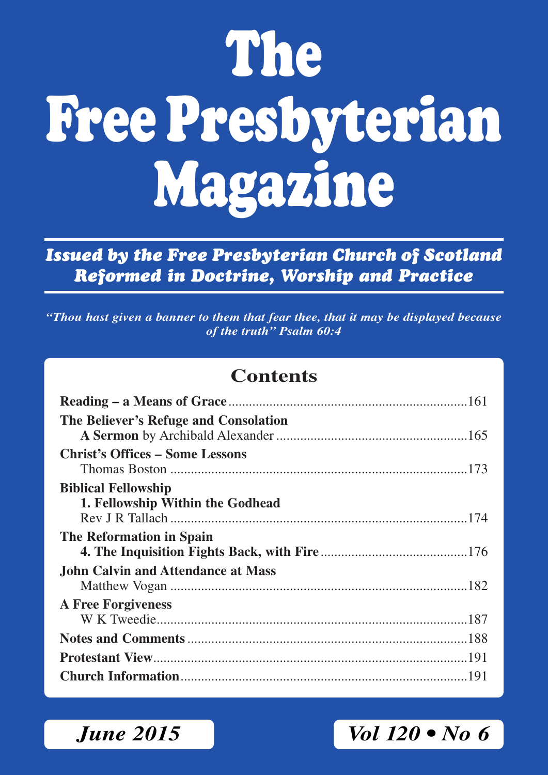# **The Free Presbyterian Magazine**

*Issued by the Free Presbyterian Church of Scotland Reformed in Doctrine, Worship and Practice*

*"Thou hast given a banner to them that fear thee, that it may be displayed because of the truth" Psalm 60:4*

### **Contents**

| The Believer's Refuge and Consolation     |  |
|-------------------------------------------|--|
| <b>Christ's Offices – Some Lessons</b>    |  |
| <b>Biblical Fellowship</b>                |  |
| 1. Fellowship Within the Godhead          |  |
| The Reformation in Spain                  |  |
| <b>John Calvin and Attendance at Mass</b> |  |
| <b>A Free Forgiveness</b>                 |  |
|                                           |  |
|                                           |  |
|                                           |  |

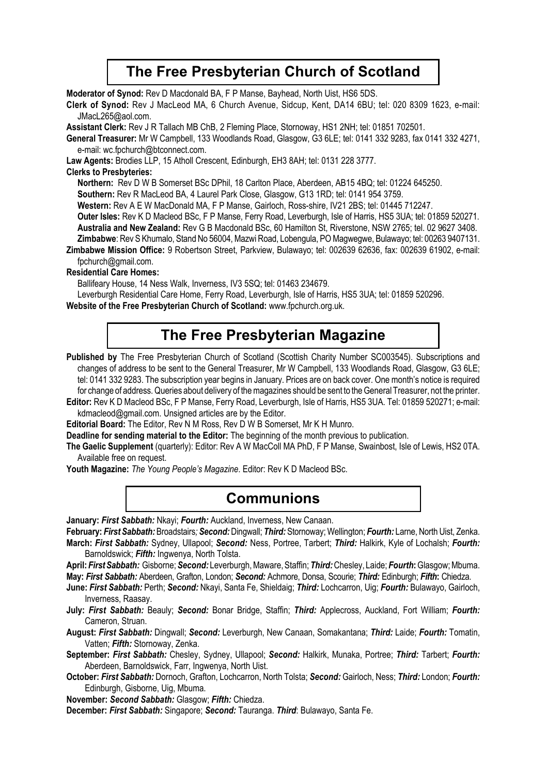### **The Free Presbyterian Church of Scotland**

**Moderator of Synod: Rev D Macdonald BA, F P Manse, Bayhead, North Uist, HS6 5DS.** 

**Clerk of Synod:** Rev J MacLeod MA, 6 Church Avenue, Sidcup, Kent, DA14 6BU; tel: 020 8309 1623, e-mail: JMacL265@aol.com.

**Assistant Clerk:** Rev J R Tallach MB ChB, 2 Fleming Place, Stornoway, HS1 2NH; tel: 01851 702501.

**General Treasurer:** Mr W Campbell, 133 Woodlands Road, Glasgow, G3 6LE; tel: 0141 332 9283, fax 0141 332 4271, e-mail: wc.fpchurch@btconnect.com.

**Law Agents:** Brodies LLP, 15 Atholl Crescent, Edinburgh, EH3 8AH; tel: 0131 228 3777.

#### **Clerks to Presbyteries:**

**Northern:** Rev D W B Somerset BSc DPhil, 18 Carlton Place, Aberdeen, AB15 4BQ; tel: 01224 645250.

**Southern:** Rev R MacLeod BA, 4 Laurel Park Close, Glasgow, G13 1RD; tel: 0141 954 3759.

**Western:** Rev A E W MacDonald MA, F P Manse, Gairloch, Ross-shire, IV21 2BS; tel: 01445 712247.

**Outer lsles:** Rev K D Macleod BSc, F P Manse, Ferry Road, Leverburgh, Isle of Harris, HS5 3UA; tel: 01859 520271. **Australia and New Zealand:** Rev G B Macdonald BSc, 60 Hamilton St, Riverstone, NSW 2765; tel. 02 9627 3408.

**Zimbabwe**: Rev S Khumalo, Stand No 56004, Mazwi Road, Lobengula, PO Magwegwe, Bulawayo; tel: 00263 9407131.

**Zimbabwe Mission Office:** 9 Robertson Street, Parkview, Bulawayo; tel: 002639 62636, fax: 002639 61902, e-mail: fpchurch@gmail.com.

#### **Residential Care Homes:**

Ballifeary House, 14 Ness Walk, Inverness, IV3 5SQ; tel: 01463 234679.

Leverburgh Residential Care Home, Ferry Road, Leverburgh, Isle of Harris, HS5 3UA; tel: 01859 520296.

**Website of the Free Presbyterian Church of Scotland:** www.fpchurch.org.uk.

### **The Free Presbyterian Magazine**

Published by The Free Presbyterian Church of Scotland (Scottish Charity Number SC003545). Subscriptions and changes of address to be sent to the General Treasurer, Mr W Campbell, 133 Woodlands Road, Glasgow, G3 6LE; tel: 0141 332 9283. The subscription year begins in January. Prices are on back cover. One month's notice is required for change of address. Queries about delivery of the magazines should be sent to the General Treasurer, not the printer.

**Editor:** Rev K D Macleod BSc, F P Manse, Ferry Road, Leverburgh, Isle of Harris, HS5 3UA. Tel: 01859 520271; e-mail: kdmacleod@gmail.com. Unsigned articles are by the Editor.

**Editorial Board:** The Editor, Rev N M Ross, Rev D W B Somerset, Mr K H Munro.

**Deadline for sending material to the Editor:** The beginning of the month previous to publication.

**The Gaelic Supplement** (quarterly): Editor: Rev A W MacColl MA PhD, F P Manse, Swainbost, Isle of Lewis, HS2 0TA. Available free on request.

**Youth Magazine:** *The Young People's Magazine*. Editor: Rev K D Macleod BSc.

### **Communions**

**January:** *First Sabbath:* Nkayi; *Fourth:* Auckland, Inverness, New Canaan.

**February:** *First Sabbath:* Broadstairs*; Second:* Dingwall; *Third:* Stornoway; Wellington; *Fourth:* Larne, North Uist, Zenka. **March:** *First Sabbath:* Sydney, Ullapool; *Second:* Ness, Portree, Tarbert; *Third:* Halkirk, Kyle of Lochalsh; *Fourth:* Barnoldswick; *Fifth:* Ingwenya, North Tolsta.

**April:** *First Sabbath:* Gisborne; *Second:* Leverburgh, Maware, Staffin; *Third:* Chesley, Laide; *Fourth***:** Glasgow; Mbuma. **May:** *First Sabbath:* Aberdeen, Grafton, London; *Second:* Achmore, Donsa, Scourie; *Third:* Edinburgh; *Fifth***:** Chiedza.

**June:** *First Sabbath:* Perth; *Second:* Nkayi, Santa Fe, Shieldaig; *Third:* Lochcarron, Uig; *Fourth:* Bulawayo, Gairloch, Inverness, Raasay.

**July:** *First Sabbath:* Beauly; *Second:* Bonar Bridge, Staffin; *Third:* Applecross, Auckland, Fort William; *Fourth:* Cameron, Struan.

**August:** *First Sabbath:* Dingwall; *Second:* Leverburgh, New Canaan, Somakantana; *Third:* Laide; *Fourth:* Tomatin, Vatten; *Fifth:* Stornoway, Zenka.

**September:** *First Sabbath:* Chesley, Sydney, Ullapool; *Second:* Halkirk, Munaka, Portree; *Third:* Tarbert; *Fourth:* Aberdeen, Barnoldswick, Farr, Ingwenya, North Uist.

**October:** *First Sabbath:* Dornoch, Grafton, Lochcarron, North Tolsta; *Second:* Gairloch, Ness; *Third:* London; *Fourth:* Edinburgh, Gisborne, Uig, Mbuma.

**November:** *Second Sabbath:* Glasgow; *Fifth:* Chiedza.

**December:** *First Sabbath:* Singapore; *Second:* Tauranga. *Third*: Bulawayo, Santa Fe.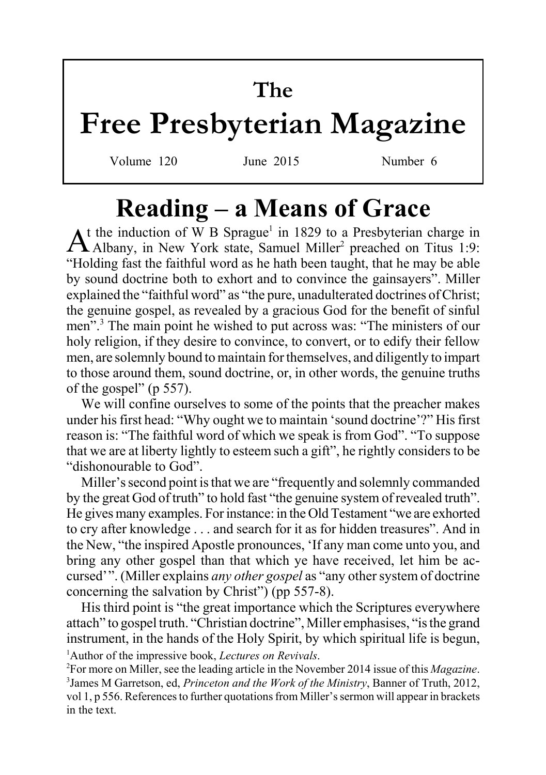# **The**

# **Free Presbyterian Magazine**

Volume 120 June 2015 Number 6

# **Reading – a Means of Grace**

 $A<sup>t</sup>$  the induction of W B Sprague<sup>1</sup> in 1829 to a Presbyterian charge in Albany, in New York state, Samuel Miller<sup>2</sup> preached on Titus 1:9: If the induction of W B Sprague<sup>1</sup> in 1829 to a Presbyterian charge in "Holding fast the faithful word as he hath been taught, that he may be able by sound doctrine both to exhort and to convince the gainsayers". Miller explained the "faithful word" as "the pure, unadulterated doctrines of Christ; the genuine gospel, as revealed by a gracious God for the benefit of sinful men".<sup>3</sup> The main point he wished to put across was: "The ministers of our holy religion, if they desire to convince, to convert, or to edify their fellow men, are solemnly bound to maintain for themselves, and diligently to impart to those around them, sound doctrine, or, in other words, the genuine truths of the gospel" (p 557).

We will confine ourselves to some of the points that the preacher makes under his first head: "Why ought we to maintain 'sound doctrine'?" His first reason is: "The faithful word of which we speak is from God". "To suppose that we are at liberty lightly to esteem such a gift", he rightly considers to be "dishonourable to God".

Miller's second point is that we are "frequently and solemnly commanded by the great God of truth" to hold fast "the genuine system of revealed truth". He gives many examples. For instance: in the Old Testament "we are exhorted to cry after knowledge . . . and search for it as for hidden treasures". And in the New, "the inspired Apostle pronounces, 'If any man come unto you, and bring any other gospel than that which ye have received, let him be accursed'". (Miller explains *any other gospel* as "any other system of doctrine concerning the salvation by Christ") (pp 557-8).

His third point is "the great importance which the Scriptures everywhere attach" to gospel truth. "Christian doctrine", Miller emphasises, "is the grand instrument, in the hands of the Holy Spirit, by which spiritual life is begun, 1 Author of the impressive book, *Lectures on Revivals*.

2 For more on Miller, see the leading article in the November 2014 issue of this *Magazine*. 3 James M Garretson, ed, *Princeton and the Work of the Ministry*, Banner of Truth, 2012, vol 1, p 556. References to further quotations from Miller's sermon will appear in brackets in the text.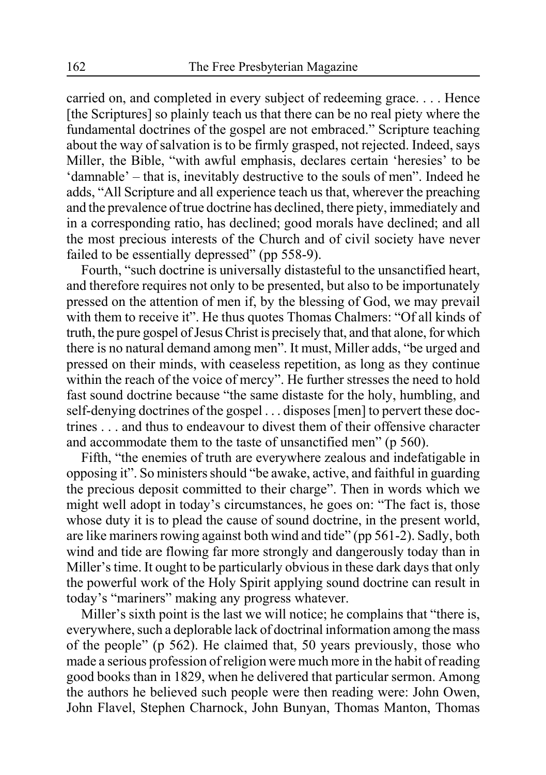carried on, and completed in every subject of redeeming grace. . . . Hence [the Scriptures] so plainly teach us that there can be no real piety where the fundamental doctrines of the gospel are not embraced." Scripture teaching about the way of salvation is to be firmly grasped, not rejected. Indeed, says Miller, the Bible, "with awful emphasis, declares certain 'heresies' to be 'damnable' – that is, inevitably destructive to the souls of men". Indeed he adds, "All Scripture and all experience teach us that, wherever the preaching and the prevalence of true doctrine has declined, there piety, immediately and in a corresponding ratio, has declined; good morals have declined; and all the most precious interests of the Church and of civil society have never failed to be essentially depressed" (pp 558-9).

Fourth, "such doctrine is universally distasteful to the unsanctified heart, and therefore requires not only to be presented, but also to be importunately pressed on the attention of men if, by the blessing of God, we may prevail with them to receive it". He thus quotes Thomas Chalmers: "Of all kinds of truth, the pure gospel of Jesus Christ is precisely that, and that alone, for which there is no natural demand among men". It must, Miller adds, "be urged and pressed on their minds, with ceaseless repetition, as long as they continue within the reach of the voice of mercy". He further stresses the need to hold fast sound doctrine because "the same distaste for the holy, humbling, and self-denying doctrines of the gospel . . . disposes [men] to pervert these doctrines . . . and thus to endeavour to divest them of their offensive character and accommodate them to the taste of unsanctified men" (p 560).

Fifth, "the enemies of truth are everywhere zealous and indefatigable in opposing it". So ministers should "be awake, active, and faithful in guarding the precious deposit committed to their charge". Then in words which we might well adopt in today's circumstances, he goes on: "The fact is, those whose duty it is to plead the cause of sound doctrine, in the present world, are like mariners rowing against both wind and tide" (pp 561-2). Sadly, both wind and tide are flowing far more strongly and dangerously today than in Miller's time. It ought to be particularly obvious in these dark days that only the powerful work of the Holy Spirit applying sound doctrine can result in today's "mariners" making any progress whatever.

Miller's sixth point is the last we will notice; he complains that "there is, everywhere, such a deplorable lack of doctrinal information among the mass of the people" (p 562). He claimed that, 50 years previously, those who made a serious profession of religion were much more in the habit of reading good books than in 1829, when he delivered that particular sermon. Among the authors he believed such people were then reading were: John Owen, John Flavel, Stephen Charnock, John Bunyan, Thomas Manton, Thomas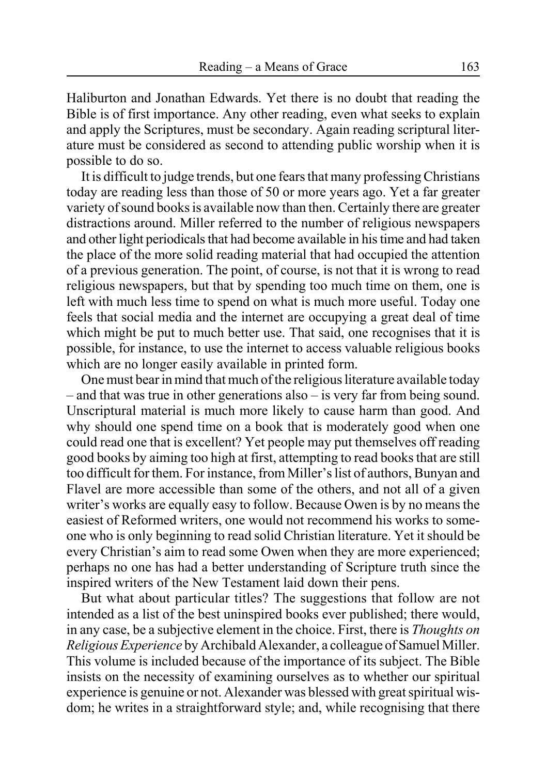Haliburton and Jonathan Edwards. Yet there is no doubt that reading the Bible is of first importance. Any other reading, even what seeks to explain and apply the Scriptures, must be secondary. Again reading scriptural literature must be considered as second to attending public worship when it is possible to do so.

It is difficult to judge trends, but one fears that many professing Christians today are reading less than those of 50 or more years ago. Yet a far greater variety of sound books is available now than then. Certainly there are greater distractions around. Miller referred to the number of religious newspapers and other light periodicals that had become available in his time and had taken the place of the more solid reading material that had occupied the attention of a previous generation. The point, of course, is not that it is wrong to read religious newspapers, but that by spending too much time on them, one is left with much less time to spend on what is much more useful. Today one feels that social media and the internet are occupying a great deal of time which might be put to much better use. That said, one recognises that it is possible, for instance, to use the internet to access valuable religious books which are no longer easily available in printed form.

One must bear in mind that much of the religious literature available today – and that was true in other generations also – is very far from being sound. Unscriptural material is much more likely to cause harm than good. And why should one spend time on a book that is moderately good when one could read one that is excellent? Yet people may put themselves off reading good books by aiming too high at first, attempting to read books that are still too difficult for them. For instance, from Miller's list of authors, Bunyan and Flavel are more accessible than some of the others, and not all of a given writer's works are equally easy to follow. Because Owen is by no means the easiest of Reformed writers, one would not recommend his works to someone who is only beginning to read solid Christian literature. Yet it should be every Christian's aim to read some Owen when they are more experienced; perhaps no one has had a better understanding of Scripture truth since the inspired writers of the New Testament laid down their pens.

But what about particular titles? The suggestions that follow are not intended as a list of the best uninspired books ever published; there would, in any case, be a subjective element in the choice. First, there is *Thoughts on Religious Experience* by Archibald Alexander, a colleague of Samuel Miller. This volume is included because of the importance of its subject. The Bible insists on the necessity of examining ourselves as to whether our spiritual experience is genuine or not. Alexander was blessed with great spiritual wisdom; he writes in a straightforward style; and, while recognising that there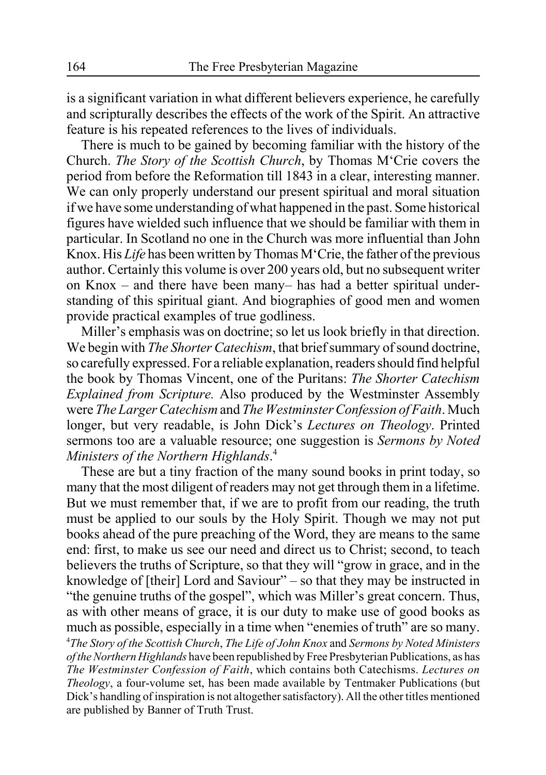is a significant variation in what different believers experience, he carefully and scripturally describes the effects of the work of the Spirit. An attractive feature is his repeated references to the lives of individuals.

There is much to be gained by becoming familiar with the history of the Church. *The Story of the Scottish Church*, by Thomas M'Crie covers the period from before the Reformation till 1843 in a clear, interesting manner. We can only properly understand our present spiritual and moral situation if we have some understanding of what happened in the past. Some historical figures have wielded such influence that we should be familiar with them in particular. In Scotland no one in the Church was more influential than John Knox. His *Life* has been written by Thomas M'Crie, the father of the previous author. Certainly this volume is over 200 years old, but no subsequent writer on Knox – and there have been many– has had a better spiritual understanding of this spiritual giant. And biographies of good men and women provide practical examples of true godliness.

Miller's emphasis was on doctrine; so let us look briefly in that direction. We begin with *The Shorter Catechism*, that brief summary of sound doctrine, so carefully expressed. For a reliable explanation, readers should find helpful the book by Thomas Vincent, one of the Puritans: *The Shorter Catechism Explained from Scripture.* Also produced by the Westminster Assembly were *The Larger Catechism* and *The Westminster Confession of Faith*. Much longer, but very readable, is John Dick's *Lectures on Theology*. Printed sermons too are a valuable resource; one suggestion is *Sermons by Noted Ministers of the Northern Highlands*. 4

These are but a tiny fraction of the many sound books in print today, so many that the most diligent of readers may not get through them in a lifetime. But we must remember that, if we are to profit from our reading, the truth must be applied to our souls by the Holy Spirit. Though we may not put books ahead of the pure preaching of the Word, they are means to the same end: first, to make us see our need and direct us to Christ; second, to teach believers the truths of Scripture, so that they will "grow in grace, and in the knowledge of [their] Lord and Saviour" – so that they may be instructed in "the genuine truths of the gospel", which was Miller's great concern. Thus, as with other means of grace, it is our duty to make use of good books as much as possible, especially in a time when "enemies of truth" are so many. 4 *The Story of the Scottish Church*, *The Life of John Knox* and *Sermons by Noted Ministers of the Northern Highlands* have been republished by Free Presbyterian Publications, as has *The Westminster Confession of Faith*, which contains both Catechisms. *Lectures on Theology*, a four-volume set, has been made available by Tentmaker Publications (but Dick's handling of inspiration is not altogether satisfactory). All the other titles mentioned are published by Banner of Truth Trust.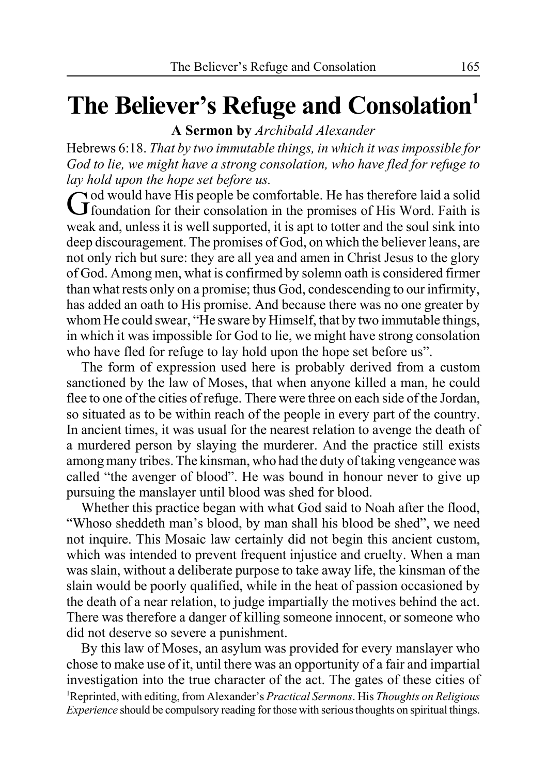# **The Believer's Refuge and Consolation1**

**A Sermon by** *Archibald Alexander*

Hebrews 6:18. *That by two immutable things, in which it was impossible for God to lie, we might have a strong consolation, who have fled for refuge to lay hold upon the hope set before us.*

God would have His people be comfortable. He has therefore laid a solid foundation for their consolation in the promises of His Word. Faith is weak and, unless it is well supported, it is apt to totter and the soul sink into deep discouragement. The promises of God, on which the believer leans, are not only rich but sure: they are all yea and amen in Christ Jesus to the glory of God. Among men, what is confirmed by solemn oath is considered firmer than what rests only on a promise; thus God, condescending to our infirmity, has added an oath to His promise. And because there was no one greater by whom He could swear, "He sware by Himself, that by two immutable things, in which it was impossible for God to lie, we might have strong consolation who have fled for refuge to lay hold upon the hope set before us".

The form of expression used here is probably derived from a custom sanctioned by the law of Moses, that when anyone killed a man, he could flee to one of the cities of refuge. There were three on each side of the Jordan, so situated as to be within reach of the people in every part of the country. In ancient times, it was usual for the nearest relation to avenge the death of a murdered person by slaying the murderer. And the practice still exists among many tribes. The kinsman, who had the duty of taking vengeance was called "the avenger of blood". He was bound in honour never to give up pursuing the manslayer until blood was shed for blood.

Whether this practice began with what God said to Noah after the flood, "Whoso sheddeth man's blood, by man shall his blood be shed", we need not inquire. This Mosaic law certainly did not begin this ancient custom, which was intended to prevent frequent injustice and cruelty. When a man was slain, without a deliberate purpose to take away life, the kinsman of the slain would be poorly qualified, while in the heat of passion occasioned by the death of a near relation, to judge impartially the motives behind the act. There was therefore a danger of killing someone innocent, or someone who did not deserve so severe a punishment.

By this law of Moses, an asylum was provided for every manslayer who chose to make use of it, until there was an opportunity of a fair and impartial investigation into the true character of the act. The gates of these cities of 1 Reprinted, with editing, from Alexander's *Practical Sermons*. His *Thoughts on Religious Experience* should be compulsory reading for those with serious thoughts on spiritual things.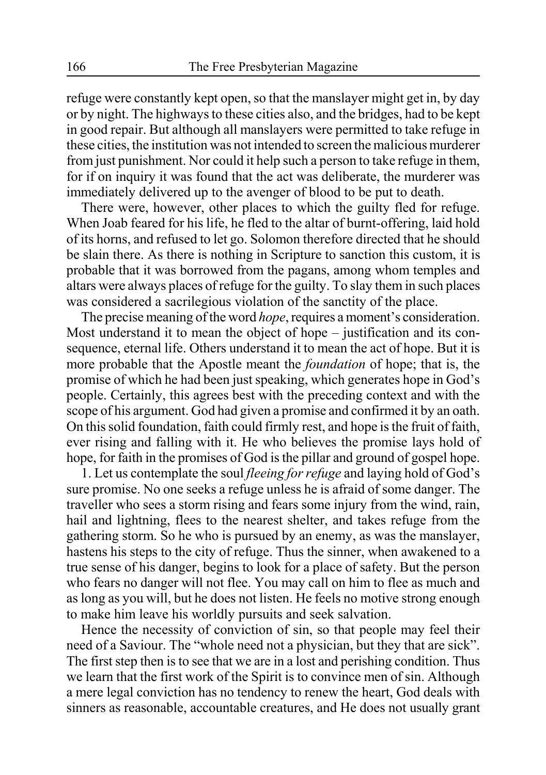refuge were constantly kept open, so that the manslayer might get in, by day or by night. The highways to these cities also, and the bridges, had to be kept in good repair. But although all manslayers were permitted to take refuge in these cities, the institution was not intended to screen the malicious murderer from just punishment. Nor could it help such a person to take refuge in them, for if on inquiry it was found that the act was deliberate, the murderer was immediately delivered up to the avenger of blood to be put to death.

There were, however, other places to which the guilty fled for refuge. When Joab feared for his life, he fled to the altar of burnt-offering, laid hold of its horns, and refused to let go. Solomon therefore directed that he should be slain there. As there is nothing in Scripture to sanction this custom, it is probable that it was borrowed from the pagans, among whom temples and altars were always places of refuge for the guilty. To slay them in such places was considered a sacrilegious violation of the sanctity of the place.

The precise meaning of the word *hope*, requires a moment's consideration. Most understand it to mean the object of hope – justification and its consequence, eternal life. Others understand it to mean the act of hope. But it is more probable that the Apostle meant the *foundation* of hope; that is, the promise of which he had been just speaking, which generates hope in God's people. Certainly, this agrees best with the preceding context and with the scope of his argument. God had given a promise and confirmed it by an oath. On this solid foundation, faith could firmly rest, and hope is the fruit of faith, ever rising and falling with it. He who believes the promise lays hold of hope, for faith in the promises of God is the pillar and ground of gospel hope.

1. Let us contemplate the soul *fleeing for refuge* and laying hold of God's sure promise. No one seeks a refuge unless he is afraid of some danger. The traveller who sees a storm rising and fears some injury from the wind, rain, hail and lightning, flees to the nearest shelter, and takes refuge from the gathering storm. So he who is pursued by an enemy, as was the manslayer, hastens his steps to the city of refuge. Thus the sinner, when awakened to a true sense of his danger, begins to look for a place of safety. But the person who fears no danger will not flee. You may call on him to flee as much and as long as you will, but he does not listen. He feels no motive strong enough to make him leave his worldly pursuits and seek salvation.

Hence the necessity of conviction of sin, so that people may feel their need of a Saviour. The "whole need not a physician, but they that are sick". The first step then is to see that we are in a lost and perishing condition. Thus we learn that the first work of the Spirit is to convince men of sin. Although a mere legal conviction has no tendency to renew the heart, God deals with sinners as reasonable, accountable creatures, and He does not usually grant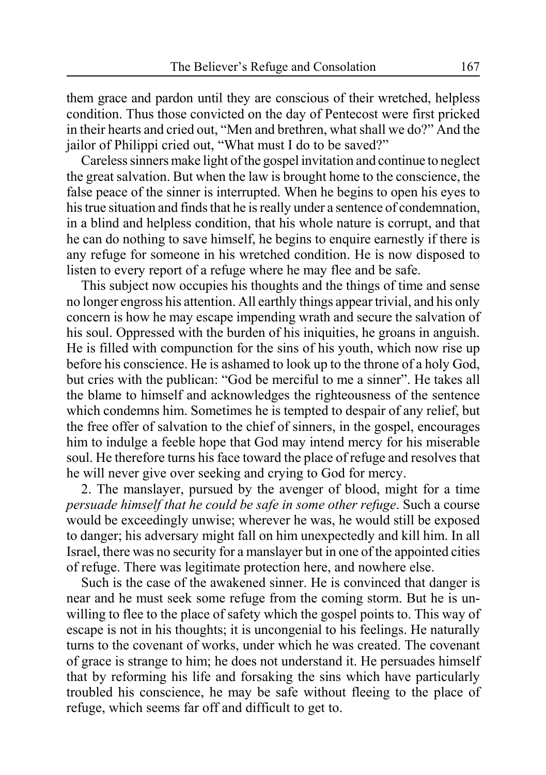them grace and pardon until they are conscious of their wretched, helpless condition. Thus those convicted on the day of Pentecost were first pricked in their hearts and cried out, "Men and brethren, what shall we do?" And the jailor of Philippi cried out, "What must I do to be saved?"

Careless sinners make light of the gospel invitation and continue to neglect the great salvation. But when the law is brought home to the conscience, the false peace of the sinner is interrupted. When he begins to open his eyes to his true situation and finds that he is really under a sentence of condemnation, in a blind and helpless condition, that his whole nature is corrupt, and that he can do nothing to save himself, he begins to enquire earnestly if there is any refuge for someone in his wretched condition. He is now disposed to listen to every report of a refuge where he may flee and be safe.

This subject now occupies his thoughts and the things of time and sense no longer engross his attention. All earthly things appear trivial, and his only concern is how he may escape impending wrath and secure the salvation of his soul. Oppressed with the burden of his iniquities, he groans in anguish. He is filled with compunction for the sins of his youth, which now rise up before his conscience. He is ashamed to look up to the throne of a holy God, but cries with the publican: "God be merciful to me a sinner". He takes all the blame to himself and acknowledges the righteousness of the sentence which condemns him. Sometimes he is tempted to despair of any relief, but the free offer of salvation to the chief of sinners, in the gospel, encourages him to indulge a feeble hope that God may intend mercy for his miserable soul. He therefore turns his face toward the place of refuge and resolves that he will never give over seeking and crying to God for mercy.

2. The manslayer, pursued by the avenger of blood, might for a time *persuade himself that he could be safe in some other refuge*. Such a course would be exceedingly unwise; wherever he was, he would still be exposed to danger; his adversary might fall on him unexpectedly and kill him. In all Israel, there was no security for a manslayer but in one of the appointed cities of refuge. There was legitimate protection here, and nowhere else.

Such is the case of the awakened sinner. He is convinced that danger is near and he must seek some refuge from the coming storm. But he is unwilling to flee to the place of safety which the gospel points to. This way of escape is not in his thoughts; it is uncongenial to his feelings. He naturally turns to the covenant of works, under which he was created. The covenant of grace is strange to him; he does not understand it. He persuades himself that by reforming his life and forsaking the sins which have particularly troubled his conscience, he may be safe without fleeing to the place of refuge, which seems far off and difficult to get to.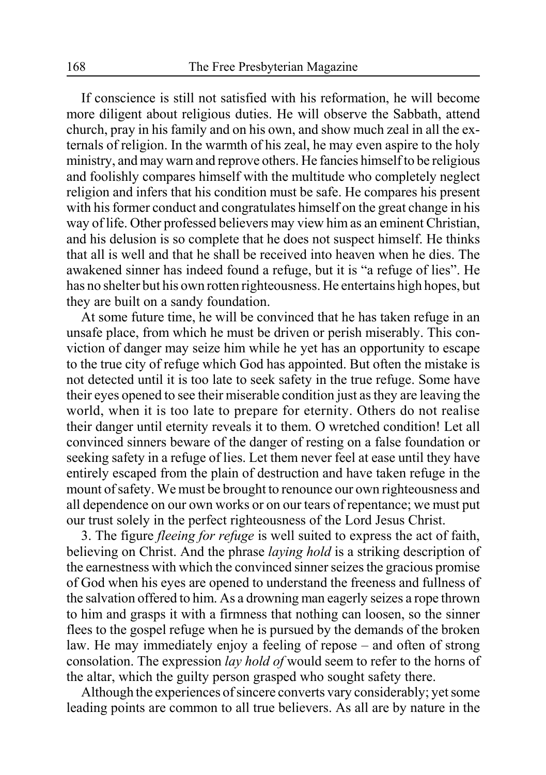If conscience is still not satisfied with his reformation, he will become more diligent about religious duties. He will observe the Sabbath, attend church, pray in his family and on his own, and show much zeal in all the externals of religion. In the warmth of his zeal, he may even aspire to the holy ministry, and may warn and reprove others. He fancies himself to be religious and foolishly compares himself with the multitude who completely neglect religion and infers that his condition must be safe. He compares his present with his former conduct and congratulates himself on the great change in his way of life. Other professed believers may view him as an eminent Christian, and his delusion is so complete that he does not suspect himself. He thinks that all is well and that he shall be received into heaven when he dies. The awakened sinner has indeed found a refuge, but it is "a refuge of lies". He has no shelter but his own rotten righteousness. He entertains high hopes, but they are built on a sandy foundation.

At some future time, he will be convinced that he has taken refuge in an unsafe place, from which he must be driven or perish miserably. This conviction of danger may seize him while he yet has an opportunity to escape to the true city of refuge which God has appointed. But often the mistake is not detected until it is too late to seek safety in the true refuge. Some have their eyes opened to see their miserable condition just as they are leaving the world, when it is too late to prepare for eternity. Others do not realise their danger until eternity reveals it to them. O wretched condition! Let all convinced sinners beware of the danger of resting on a false foundation or seeking safety in a refuge of lies. Let them never feel at ease until they have entirely escaped from the plain of destruction and have taken refuge in the mount of safety. We must be brought to renounce our own righteousness and all dependence on our own works or on our tears of repentance; we must put our trust solely in the perfect righteousness of the Lord Jesus Christ.

3. The figure *fleeing for refuge* is well suited to express the act of faith, believing on Christ. And the phrase *laying hold* is a striking description of the earnestness with which the convinced sinner seizes the gracious promise of God when his eyes are opened to understand the freeness and fullness of the salvation offered to him. As a drowning man eagerly seizes a rope thrown to him and grasps it with a firmness that nothing can loosen, so the sinner flees to the gospel refuge when he is pursued by the demands of the broken law. He may immediately enjoy a feeling of repose – and often of strong consolation. The expression *lay hold of* would seem to refer to the horns of the altar, which the guilty person grasped who sought safety there.

Although the experiences of sincere converts vary considerably; yet some leading points are common to all true believers. As all are by nature in the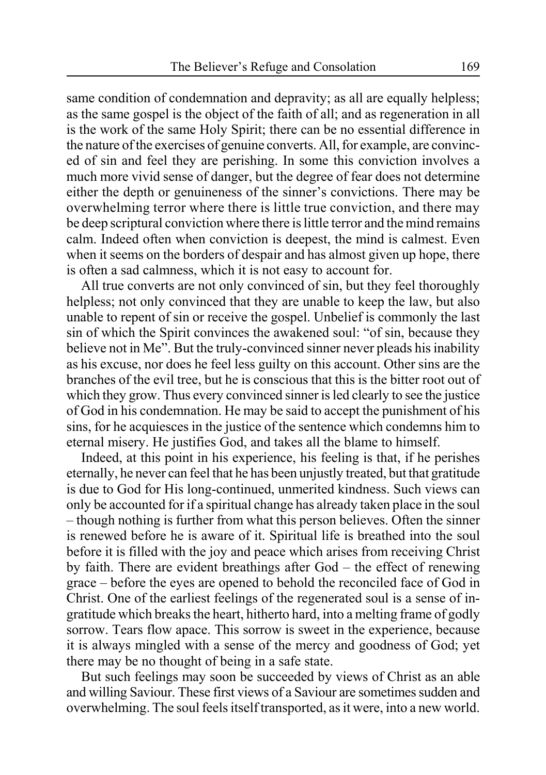same condition of condemnation and depravity; as all are equally helpless; as the same gospel is the object of the faith of all; and as regeneration in all is the work of the same Holy Spirit; there can be no essential difference in the nature of the exercises of genuine converts. All, for example, are convinced of sin and feel they are perishing. In some this conviction involves a much more vivid sense of danger, but the degree of fear does not determine either the depth or genuineness of the sinner's convictions. There may be overwhelming terror where there is little true conviction, and there may be deep scriptural conviction where there is little terror and the mind remains calm. Indeed often when conviction is deepest, the mind is calmest. Even when it seems on the borders of despair and has almost given up hope, there is often a sad calmness, which it is not easy to account for.

All true converts are not only convinced of sin, but they feel thoroughly helpless; not only convinced that they are unable to keep the law, but also unable to repent of sin or receive the gospel. Unbelief is commonly the last sin of which the Spirit convinces the awakened soul: "of sin, because they believe not in Me". But the truly-convinced sinner never pleads his inability as his excuse, nor does he feel less guilty on this account. Other sins are the branches of the evil tree, but he is conscious that this is the bitter root out of which they grow. Thus every convinced sinner is led clearly to see the justice of God in his condemnation. He may be said to accept the punishment of his sins, for he acquiesces in the justice of the sentence which condemns him to eternal misery. He justifies God, and takes all the blame to himself.

Indeed, at this point in his experience, his feeling is that, if he perishes eternally, he never can feel that he has been unjustly treated, but that gratitude is due to God for His long-continued, unmerited kindness. Such views can only be accounted for if a spiritual change has already taken place in the soul – though nothing is further from what this person believes. Often the sinner is renewed before he is aware of it. Spiritual life is breathed into the soul before it is filled with the joy and peace which arises from receiving Christ by faith. There are evident breathings after God – the effect of renewing grace – before the eyes are opened to behold the reconciled face of God in Christ. One of the earliest feelings of the regenerated soul is a sense of ingratitude which breaks the heart, hitherto hard, into a melting frame of godly sorrow. Tears flow apace. This sorrow is sweet in the experience, because it is always mingled with a sense of the mercy and goodness of God; yet there may be no thought of being in a safe state.

But such feelings may soon be succeeded by views of Christ as an able and willing Saviour. These first views of a Saviour are sometimes sudden and overwhelming. The soul feels itself transported, as it were, into a new world.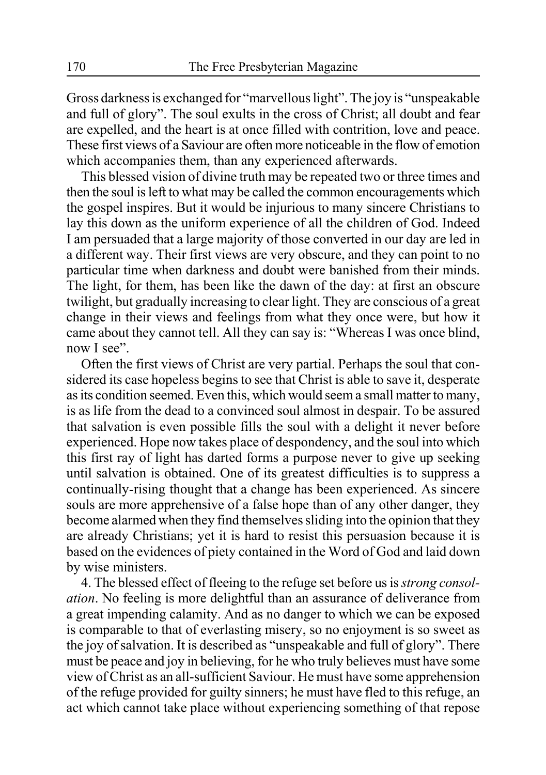Gross darkness is exchanged for "marvellous light". The joy is "unspeakable and full of glory". The soul exults in the cross of Christ; all doubt and fear are expelled, and the heart is at once filled with contrition, love and peace. These first views of a Saviour are often more noticeable in the flow of emotion which accompanies them, than any experienced afterwards.

This blessed vision of divine truth may be repeated two or three times and then the soul is left to what may be called the common encouragements which the gospel inspires. But it would be injurious to many sincere Christians to lay this down as the uniform experience of all the children of God. Indeed I am persuaded that a large majority of those converted in our day are led in a different way. Their first views are very obscure, and they can point to no particular time when darkness and doubt were banished from their minds. The light, for them, has been like the dawn of the day: at first an obscure twilight, but gradually increasing to clear light. They are conscious of a great change in their views and feelings from what they once were, but how it came about they cannot tell. All they can say is: "Whereas I was once blind, now I see".

Often the first views of Christ are very partial. Perhaps the soul that considered its case hopeless begins to see that Christ is able to save it, desperate as its condition seemed. Even this, which would seem a small matter to many, is as life from the dead to a convinced soul almost in despair. To be assured that salvation is even possible fills the soul with a delight it never before experienced. Hope now takes place of despondency, and the soul into which this first ray of light has darted forms a purpose never to give up seeking until salvation is obtained. One of its greatest difficulties is to suppress a continually-rising thought that a change has been experienced. As sincere souls are more apprehensive of a false hope than of any other danger, they become alarmed when they find themselves sliding into the opinion that they are already Christians; yet it is hard to resist this persuasion because it is based on the evidences of piety contained in the Word of God and laid down by wise ministers.

4. The blessed effect of fleeing to the refuge set before us is *strong consolation*. No feeling is more delightful than an assurance of deliverance from a great impending calamity. And as no danger to which we can be exposed is comparable to that of everlasting misery, so no enjoyment is so sweet as the joy of salvation. It is described as "unspeakable and full of glory". There must be peace and joy in believing, for he who truly believes must have some view of Christ as an all-sufficient Saviour. He must have some apprehension of the refuge provided for guilty sinners; he must have fled to this refuge, an act which cannot take place without experiencing something of that repose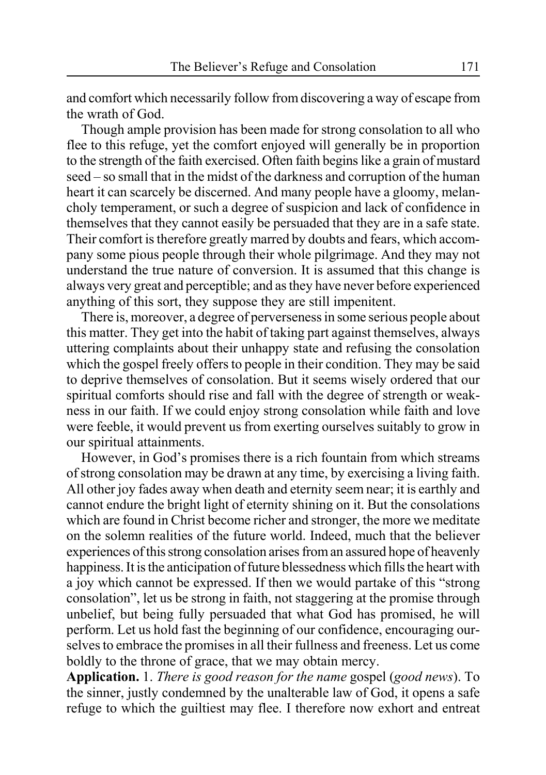and comfort which necessarily follow from discovering a way of escape from the wrath of God.

Though ample provision has been made for strong consolation to all who flee to this refuge, yet the comfort enjoyed will generally be in proportion to the strength of the faith exercised. Often faith begins like a grain of mustard seed – so small that in the midst of the darkness and corruption of the human heart it can scarcely be discerned. And many people have a gloomy, melancholy temperament, or such a degree of suspicion and lack of confidence in themselves that they cannot easily be persuaded that they are in a safe state. Their comfort is therefore greatly marred by doubts and fears, which accompany some pious people through their whole pilgrimage. And they may not understand the true nature of conversion. It is assumed that this change is always very great and perceptible; and as they have never before experienced anything of this sort, they suppose they are still impenitent.

There is, moreover, a degree of perverseness in some serious people about this matter. They get into the habit of taking part against themselves, always uttering complaints about their unhappy state and refusing the consolation which the gospel freely offers to people in their condition. They may be said to deprive themselves of consolation. But it seems wisely ordered that our spiritual comforts should rise and fall with the degree of strength or weakness in our faith. If we could enjoy strong consolation while faith and love were feeble, it would prevent us from exerting ourselves suitably to grow in our spiritual attainments.

However, in God's promises there is a rich fountain from which streams of strong consolation may be drawn at any time, by exercising a living faith. All other joy fades away when death and eternity seem near; it is earthly and cannot endure the bright light of eternity shining on it. But the consolations which are found in Christ become richer and stronger, the more we meditate on the solemn realities of the future world. Indeed, much that the believer experiences of this strong consolation arises from an assured hope of heavenly happiness. It is the anticipation of future blessedness which fills the heart with a joy which cannot be expressed. If then we would partake of this "strong consolation", let us be strong in faith, not staggering at the promise through unbelief, but being fully persuaded that what God has promised, he will perform. Let us hold fast the beginning of our confidence, encouraging ourselves to embrace the promises in all their fullness and freeness. Let us come boldly to the throne of grace, that we may obtain mercy.

**Application.** 1. *There is good reason for the name* gospel (*good news*). To the sinner, justly condemned by the unalterable law of God, it opens a safe refuge to which the guiltiest may flee. I therefore now exhort and entreat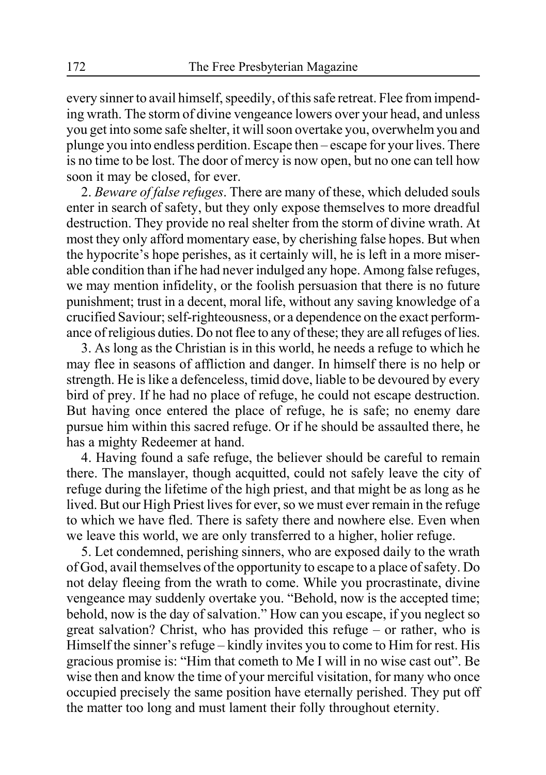every sinner to avail himself, speedily, of this safe retreat. Flee from impending wrath. The storm of divine vengeance lowers over your head, and unless you get into some safe shelter, it will soon overtake you, overwhelm you and plunge you into endless perdition. Escape then – escape for your lives. There is no time to be lost. The door of mercy is now open, but no one can tell how soon it may be closed, for ever.

2. *Beware of false refuges*. There are many of these, which deluded souls enter in search of safety, but they only expose themselves to more dreadful destruction. They provide no real shelter from the storm of divine wrath. At most they only afford momentary ease, by cherishing false hopes. But when the hypocrite's hope perishes, as it certainly will, he is left in a more miserable condition than if he had never indulged any hope. Among false refuges, we may mention infidelity, or the foolish persuasion that there is no future punishment; trust in a decent, moral life, without any saving knowledge of a crucified Saviour; self-righteousness, or a dependence on the exact performance of religious duties. Do not flee to any of these; they are all refuges of lies.

3. As long as the Christian is in this world, he needs a refuge to which he may flee in seasons of affliction and danger. In himself there is no help or strength. He is like a defenceless, timid dove, liable to be devoured by every bird of prey. If he had no place of refuge, he could not escape destruction. But having once entered the place of refuge, he is safe; no enemy dare pursue him within this sacred refuge. Or if he should be assaulted there, he has a mighty Redeemer at hand.

4. Having found a safe refuge, the believer should be careful to remain there. The manslayer, though acquitted, could not safely leave the city of refuge during the lifetime of the high priest, and that might be as long as he lived. But our High Priest lives for ever, so we must ever remain in the refuge to which we have fled. There is safety there and nowhere else. Even when we leave this world, we are only transferred to a higher, holier refuge.

5. Let condemned, perishing sinners, who are exposed daily to the wrath of God, avail themselves of the opportunity to escape to a place of safety. Do not delay fleeing from the wrath to come. While you procrastinate, divine vengeance may suddenly overtake you. "Behold, now is the accepted time; behold, now is the day of salvation." How can you escape, if you neglect so great salvation? Christ, who has provided this refuge – or rather, who is Himself the sinner's refuge – kindly invites you to come to Him for rest. His gracious promise is: "Him that cometh to Me I will in no wise cast out". Be wise then and know the time of your merciful visitation, for many who once occupied precisely the same position have eternally perished. They put off the matter too long and must lament their folly throughout eternity.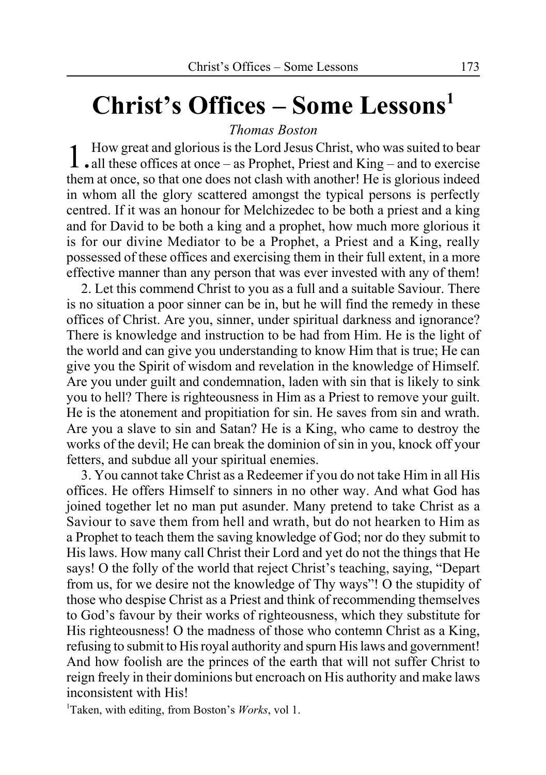# **Christ's Offices – Some Lessons1**

*Thomas Boston*

1.How great and glorious is the Lord Jesus Christ, who was suited to bear<br>
1. In these offices at once – as Prophet, Priest and King – and to exercise them at once, so that one does not clash with another! He is glorious indeed in whom all the glory scattered amongst the typical persons is perfectly centred. If it was an honour for Melchizedec to be both a priest and a king and for David to be both a king and a prophet, how much more glorious it is for our divine Mediator to be a Prophet, a Priest and a King, really possessed of these offices and exercising them in their full extent, in a more effective manner than any person that was ever invested with any of them!

2. Let this commend Christ to you as a full and a suitable Saviour. There is no situation a poor sinner can be in, but he will find the remedy in these offices of Christ. Are you, sinner, under spiritual darkness and ignorance? There is knowledge and instruction to be had from Him. He is the light of the world and can give you understanding to know Him that is true; He can give you the Spirit of wisdom and revelation in the knowledge of Himself. Are you under guilt and condemnation, laden with sin that is likely to sink you to hell? There is righteousness in Him as a Priest to remove your guilt. He is the atonement and propitiation for sin. He saves from sin and wrath. Are you a slave to sin and Satan? He is a King, who came to destroy the works of the devil; He can break the dominion of sin in you, knock off your fetters, and subdue all your spiritual enemies.

3. You cannot take Christ as a Redeemer if you do not take Him in all His offices. He offers Himself to sinners in no other way. And what God has joined together let no man put asunder. Many pretend to take Christ as a Saviour to save them from hell and wrath, but do not hearken to Him as a Prophet to teach them the saving knowledge of God; nor do they submit to His laws. How many call Christ their Lord and yet do not the things that He says! O the folly of the world that reject Christ's teaching, saying, "Depart from us, for we desire not the knowledge of Thy ways"! O the stupidity of those who despise Christ as a Priest and think of recommending themselves to God's favour by their works of righteousness, which they substitute for His righteousness! O the madness of those who contemn Christ as a King, refusing to submit to His royal authority and spurn His laws and government! And how foolish are the princes of the earth that will not suffer Christ to reign freely in their dominions but encroach on His authority and make laws inconsistent with His!

1 Taken, with editing, from Boston's *Works*, vol 1.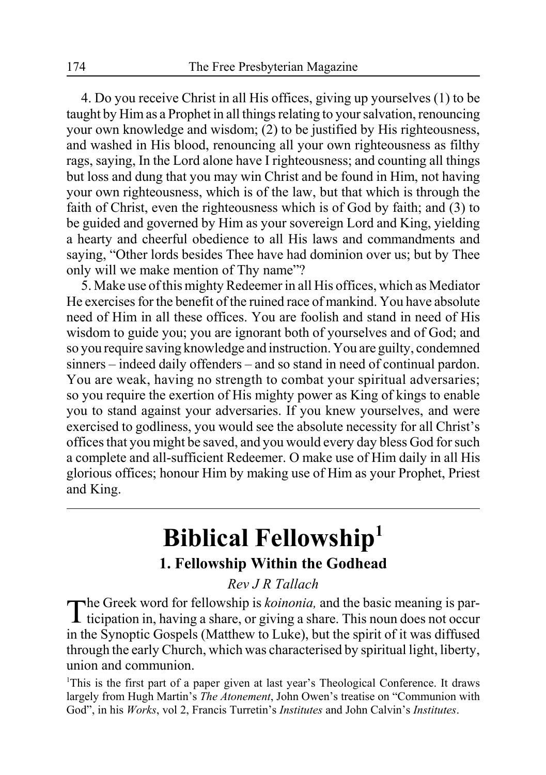4. Do you receive Christ in all His offices, giving up yourselves (1) to be taught by Him as a Prophet in all things relating to your salvation, renouncing your own knowledge and wisdom; (2) to be justified by His righteousness, and washed in His blood, renouncing all your own righteousness as filthy rags, saying, In the Lord alone have I righteousness; and counting all things but loss and dung that you may win Christ and be found in Him, not having your own righteousness, which is of the law, but that which is through the faith of Christ, even the righteousness which is of God by faith; and (3) to be guided and governed by Him as your sovereign Lord and King, yielding a hearty and cheerful obedience to all His laws and commandments and saying, "Other lords besides Thee have had dominion over us; but by Thee only will we make mention of Thy name"?

5. Make use of this mighty Redeemer in all His offices, which as Mediator He exercises for the benefit of the ruined race of mankind. You have absolute need of Him in all these offices. You are foolish and stand in need of His wisdom to guide you; you are ignorant both of yourselves and of God; and so you require saving knowledge and instruction. You are guilty, condemned sinners – indeed daily offenders – and so stand in need of continual pardon. You are weak, having no strength to combat your spiritual adversaries; so you require the exertion of His mighty power as King of kings to enable you to stand against your adversaries. If you knew yourselves, and were exercised to godliness, you would see the absolute necessity for all Christ's offices that you might be saved, and you would every day bless God for such a complete and all-sufficient Redeemer. O make use of Him daily in all His glorious offices; honour Him by making use of Him as your Prophet, Priest and King.

# **Biblical Fellowship1**

### **1. Fellowship Within the Godhead**

#### *Rev J R Tallach*

The Greek word for fellowship is *koinonia*, and the basic meaning is participation in, having a share, or giving a share. This noun does not occur in the Synoptic Gospels (Matthew to Luke), but the spirit of it was diffused through the early Church, which was characterised by spiritual light, liberty, union and communion.

<sup>1</sup>This is the first part of a paper given at last year's Theological Conference. It draws largely from Hugh Martin's *The Atonement*, John Owen's treatise on "Communion with God", in his *Works*, vol 2, Francis Turretin's *Institutes* and John Calvin's *Institutes*.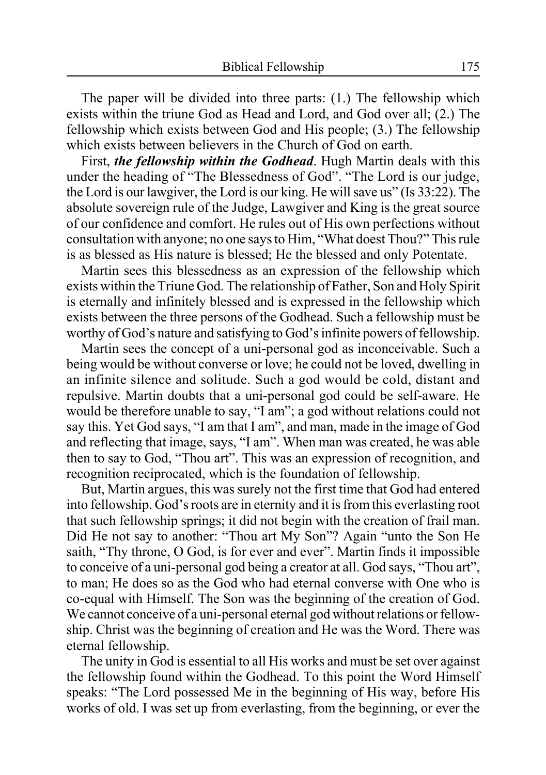The paper will be divided into three parts: (1.) The fellowship which exists within the triune God as Head and Lord, and God over all; (2.) The fellowship which exists between God and His people; (3.) The fellowship which exists between believers in the Church of God on earth.

First, *the fellowship within the Godhead*. Hugh Martin deals with this under the heading of "The Blessedness of God". "The Lord is our judge, the Lord is our lawgiver, the Lord is our king. He will save us" (Is 33:22). The absolute sovereign rule of the Judge, Lawgiver and King is the great source of our confidence and comfort. He rules out of His own perfections without consultation with anyone; no one says to Him, "What doest Thou?" This rule is as blessed as His nature is blessed; He the blessed and only Potentate.

Martin sees this blessedness as an expression of the fellowship which exists within the Triune God. The relationship of Father, Son and Holy Spirit is eternally and infinitely blessed and is expressed in the fellowship which exists between the three persons of the Godhead. Such a fellowship must be worthy of God's nature and satisfying to God's infinite powers of fellowship.

Martin sees the concept of a uni-personal god as inconceivable. Such a being would be without converse or love; he could not be loved, dwelling in an infinite silence and solitude. Such a god would be cold, distant and repulsive. Martin doubts that a uni-personal god could be self-aware. He would be therefore unable to say, "I am"; a god without relations could not say this. Yet God says, "I am that I am", and man, made in the image of God and reflecting that image, says, "I am". When man was created, he was able then to say to God, "Thou art". This was an expression of recognition, and recognition reciprocated, which is the foundation of fellowship.

But, Martin argues, this was surely not the first time that God had entered into fellowship. God's roots are in eternity and it is from this everlasting root that such fellowship springs; it did not begin with the creation of frail man. Did He not say to another: "Thou art My Son"? Again "unto the Son He saith, "Thy throne, O God, is for ever and ever". Martin finds it impossible to conceive of a uni-personal god being a creator at all. God says, "Thou art", to man; He does so as the God who had eternal converse with One who is co-equal with Himself. The Son was the beginning of the creation of God. We cannot conceive of a uni-personal eternal god without relations or fellowship. Christ was the beginning of creation and He was the Word. There was eternal fellowship.

The unity in God is essential to all His works and must be set over against the fellowship found within the Godhead. To this point the Word Himself speaks: "The Lord possessed Me in the beginning of His way, before His works of old. I was set up from everlasting, from the beginning, or ever the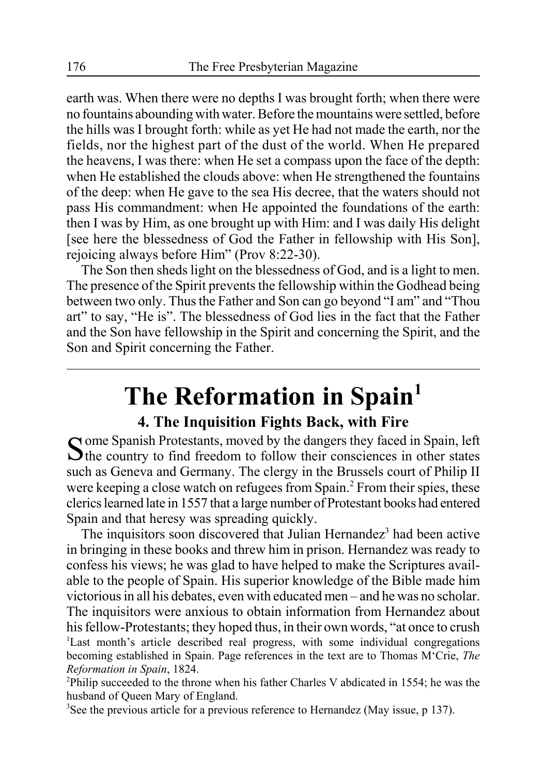earth was. When there were no depths I was brought forth; when there were no fountains abounding with water. Before the mountains were settled, before the hills was I brought forth: while as yet He had not made the earth, nor the fields, nor the highest part of the dust of the world. When He prepared the heavens, I was there: when He set a compass upon the face of the depth: when He established the clouds above: when He strengthened the fountains of the deep: when He gave to the sea His decree, that the waters should not pass His commandment: when He appointed the foundations of the earth: then I was by Him, as one brought up with Him: and I was daily His delight [see here the blessedness of God the Father in fellowship with His Son], rejoicing always before Him" (Prov 8:22-30).

The Son then sheds light on the blessedness of God, and is a light to men. The presence of the Spirit prevents the fellowship within the Godhead being between two only. Thus the Father and Son can go beyond "I am" and "Thou art" to say, "He is". The blessedness of God lies in the fact that the Father and the Son have fellowship in the Spirit and concerning the Spirit, and the Son and Spirit concerning the Father.

# **The Reformation in Spain1**

### **4. The Inquisition Fights Back, with Fire**

Some Spanish Protestants, moved by the dangers they faced in Spain, left  $\sum$  the country to find freedom to follow their consciences in other states such as Geneva and Germany. The clergy in the Brussels court of Philip II were keeping a close watch on refugees from Spain.<sup>2</sup> From their spies, these clerics learned late in 1557 that a large number of Protestant books had entered Spain and that heresy was spreading quickly.

The inquisitors soon discovered that Julian Hernandez<sup>3</sup> had been active in bringing in these books and threw him in prison. Hernandez was ready to confess his views; he was glad to have helped to make the Scriptures available to the people of Spain. His superior knowledge of the Bible made him victorious in all his debates, even with educated men – and he was no scholar. The inquisitors were anxious to obtain information from Hernandez about his fellow-Protestants; they hoped thus, in their own words, "at once to crush 1 Last month's article described real progress, with some individual congregations becoming established in Spain. Page references in the text are to Thomas M'Crie, *The Reformation in Spain*, 1824.

<sup>2</sup>Philip succeeded to the throne when his father Charles V abdicated in 1554; he was the husband of Queen Mary of England.

<sup>3</sup>See the previous article for a previous reference to Hernandez (May issue, p 137).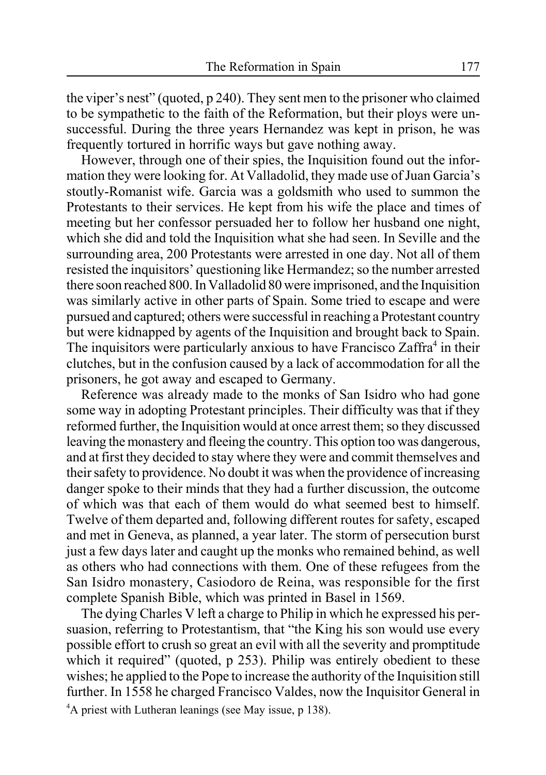the viper's nest" (quoted, p 240). They sent men to the prisoner who claimed to be sympathetic to the faith of the Reformation, but their ploys were unsuccessful. During the three years Hernandez was kept in prison, he was frequently tortured in horrific ways but gave nothing away.

However, through one of their spies, the Inquisition found out the information they were looking for. At Valladolid, they made use of Juan Garcia's stoutly-Romanist wife. Garcia was a goldsmith who used to summon the Protestants to their services. He kept from his wife the place and times of meeting but her confessor persuaded her to follow her husband one night, which she did and told the Inquisition what she had seen. In Seville and the surrounding area, 200 Protestants were arrested in one day. Not all of them resisted the inquisitors' questioning like Hermandez; so the number arrested there soon reached 800. In Valladolid 80 were imprisoned, and the Inquisition was similarly active in other parts of Spain. Some tried to escape and were pursued and captured; others were successful in reaching a Protestant country but were kidnapped by agents of the Inquisition and brought back to Spain. The inquisitors were particularly anxious to have Francisco Zaffra<sup>4</sup> in their clutches, but in the confusion caused by a lack of accommodation for all the prisoners, he got away and escaped to Germany.

Reference was already made to the monks of San Isidro who had gone some way in adopting Protestant principles. Their difficulty was that if they reformed further, the Inquisition would at once arrest them; so they discussed leaving the monastery and fleeing the country. This option too was dangerous, and at first they decided to stay where they were and commit themselves and their safety to providence. No doubt it was when the providence of increasing danger spoke to their minds that they had a further discussion, the outcome of which was that each of them would do what seemed best to himself. Twelve of them departed and, following different routes for safety, escaped and met in Geneva, as planned, a year later. The storm of persecution burst just a few days later and caught up the monks who remained behind, as well as others who had connections with them. One of these refugees from the San Isidro monastery, Casiodoro de Reina, was responsible for the first complete Spanish Bible, which was printed in Basel in 1569.

The dying Charles V left a charge to Philip in which he expressed his persuasion, referring to Protestantism, that "the King his son would use every possible effort to crush so great an evil with all the severity and promptitude which it required" (quoted, p 253). Philip was entirely obedient to these wishes; he applied to the Pope to increase the authority of the Inquisition still further. In 1558 he charged Francisco Valdes, now the Inquisitor General in 4 A priest with Lutheran leanings (see May issue, p 138).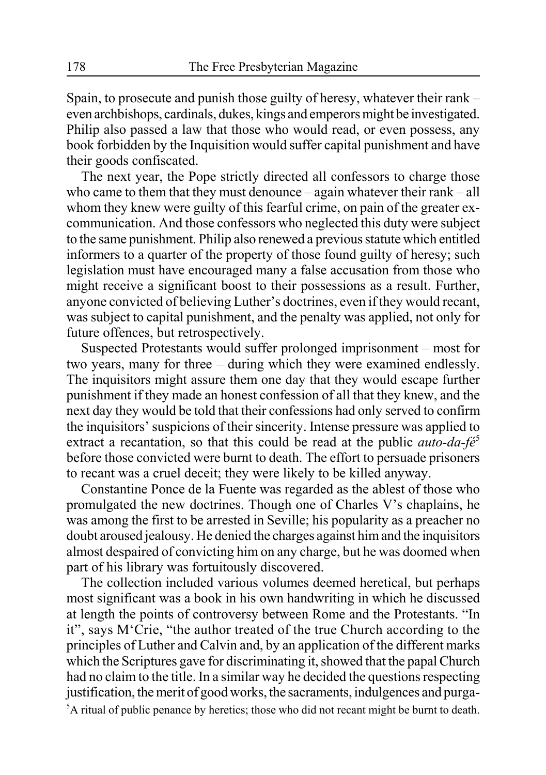Spain, to prosecute and punish those guilty of heresy, whatever their rank – even archbishops, cardinals, dukes, kings and emperors might be investigated. Philip also passed a law that those who would read, or even possess, any book forbidden by the Inquisition would suffer capital punishment and have their goods confiscated.

The next year, the Pope strictly directed all confessors to charge those who came to them that they must denounce – again whatever their rank – all whom they knew were guilty of this fearful crime, on pain of the greater excommunication. And those confessors who neglected this duty were subject to the same punishment. Philip also renewed a previous statute which entitled informers to a quarter of the property of those found guilty of heresy; such legislation must have encouraged many a false accusation from those who might receive a significant boost to their possessions as a result. Further, anyone convicted of believing Luther's doctrines, even if they would recant, was subject to capital punishment, and the penalty was applied, not only for future offences, but retrospectively.

Suspected Protestants would suffer prolonged imprisonment – most for two years, many for three – during which they were examined endlessly. The inquisitors might assure them one day that they would escape further punishment if they made an honest confession of all that they knew, and the next day they would be told that their confessions had only served to confirm the inquisitors' suspicions of their sincerity. Intense pressure was applied to extract a recantation, so that this could be read at the public *auto-da-fé*<sup>5</sup> before those convicted were burnt to death. The effort to persuade prisoners to recant was a cruel deceit; they were likely to be killed anyway.

Constantine Ponce de la Fuente was regarded as the ablest of those who promulgated the new doctrines. Though one of Charles V's chaplains, he was among the first to be arrested in Seville; his popularity as a preacher no doubt aroused jealousy. He denied the charges against him and the inquisitors almost despaired of convicting him on any charge, but he was doomed when part of his library was fortuitously discovered.

The collection included various volumes deemed heretical, but perhaps most significant was a book in his own handwriting in which he discussed at length the points of controversy between Rome and the Protestants. "In it", says M'Crie, "the author treated of the true Church according to the principles of Luther and Calvin and, by an application of the different marks which the Scriptures gave for discriminating it, showed that the papal Church had no claim to the title. In a similar way he decided the questions respecting justification, the merit of good works, the sacraments, indulgences and purga-<sup>5</sup>A ritual of public penance by heretics; those who did not recant might be burnt to death.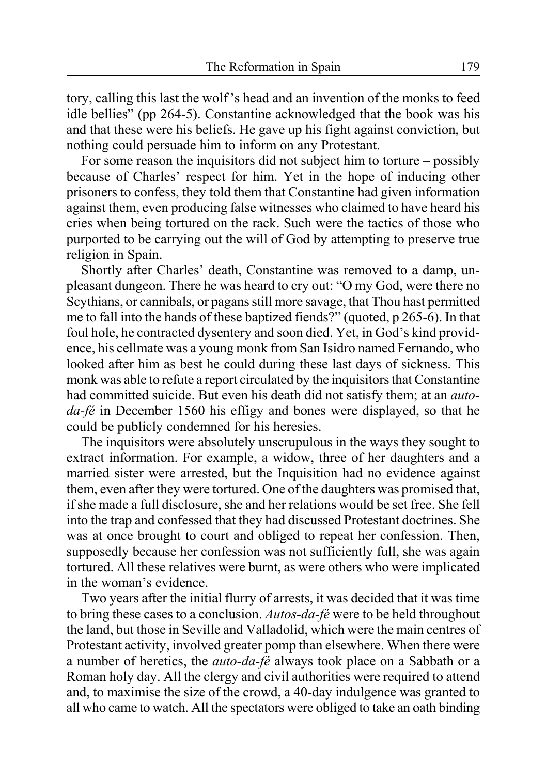tory, calling this last the wolf 's head and an invention of the monks to feed idle bellies" (pp 264-5). Constantine acknowledged that the book was his and that these were his beliefs. He gave up his fight against conviction, but nothing could persuade him to inform on any Protestant.

For some reason the inquisitors did not subject him to torture – possibly because of Charles' respect for him. Yet in the hope of inducing other prisoners to confess, they told them that Constantine had given information against them, even producing false witnesses who claimed to have heard his cries when being tortured on the rack. Such were the tactics of those who purported to be carrying out the will of God by attempting to preserve true religion in Spain.

Shortly after Charles' death, Constantine was removed to a damp, unpleasant dungeon. There he was heard to cry out: "O my God, were there no Scythians, or cannibals, or pagans still more savage, that Thou hast permitted me to fall into the hands of these baptized fiends?" (quoted, p 265-6). In that foul hole, he contracted dysentery and soon died. Yet, in God's kind providence, his cellmate was a young monk from San Isidro named Fernando, who looked after him as best he could during these last days of sickness. This monk was able to refute a report circulated by the inquisitors that Constantine had committed suicide. But even his death did not satisfy them; at an *autoda-fé* in December 1560 his effigy and bones were displayed, so that he could be publicly condemned for his heresies.

The inquisitors were absolutely unscrupulous in the ways they sought to extract information. For example, a widow, three of her daughters and a married sister were arrested, but the Inquisition had no evidence against them, even after they were tortured. One of the daughters was promised that, if she made a full disclosure, she and her relations would be set free. She fell into the trap and confessed that they had discussed Protestant doctrines. She was at once brought to court and obliged to repeat her confession. Then, supposedly because her confession was not sufficiently full, she was again tortured. All these relatives were burnt, as were others who were implicated in the woman's evidence.

Two years after the initial flurry of arrests, it was decided that it was time to bring these cases to a conclusion. *Autos-da-fé* were to be held throughout the land, but those in Seville and Valladolid, which were the main centres of Protestant activity, involved greater pomp than elsewhere. When there were a number of heretics, the *auto-da-fé* always took place on a Sabbath or a Roman holy day. All the clergy and civil authorities were required to attend and, to maximise the size of the crowd, a 40-day indulgence was granted to all who came to watch. All the spectators were obliged to take an oath binding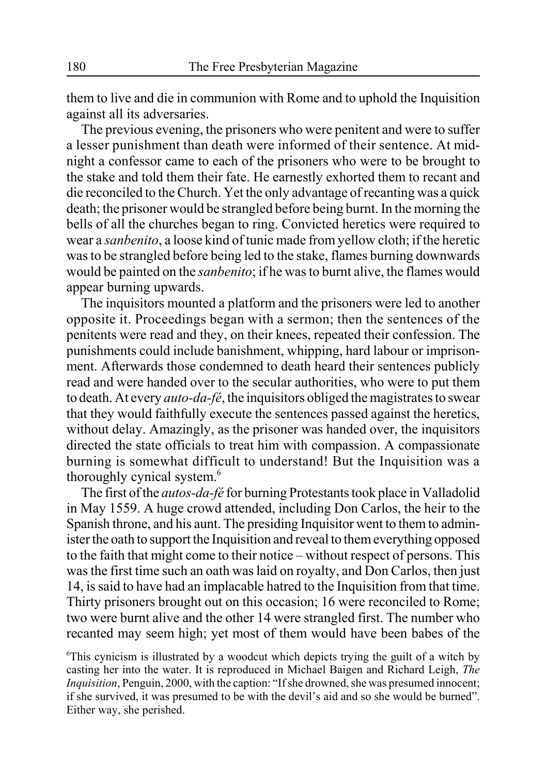them to live and die in communion with Rome and to uphold the Inquisition against all its adversaries.

The previous evening, the prisoners who were penitent and were to suffer a lesser punishment than death were informed of their sentence. At midnight a confessor came to each of the prisoners who were to be brought to the stake and told them their fate. He earnestly exhorted them to recant and die reconciled to the Church. Yet the only advantage of recanting was a quick death; the prisoner would be strangled before being burnt. In the morning the bells of all the churches began to ring. Convicted heretics were required to wear a *sanbenito*, a loose kind of tunic made from yellow cloth; if the heretic was to be strangled before being led to the stake, flames burning downwards would be painted on the *sanbenito*; if he was to burnt alive, the flames would appear burning upwards.

The inquisitors mounted a platform and the prisoners were led to another opposite it. Proceedings began with a sermon; then the sentences of the penitents were read and they, on their knees, repeated their confession. The punishments could include banishment, whipping, hard labour or imprisonment. Afterwards those condemned to death heard their sentences publicly read and were handed over to the secular authorities, who were to put them to death. At every *auto-da-fé*, the inquisitors obliged the magistrates to swear that they would faithfully execute the sentences passed against the heretics, without delay. Amazingly, as the prisoner was handed over, the inquisitors directed the state officials to treat him with compassion. A compassionate burning is somewhat difficult to understand! But the Inquisition was a thoroughly cynical system.<sup>6</sup>

The first of the *autos-da-fé* for burning Protestants took place in Valladolid in May 1559. A huge crowd attended, including Don Carlos, the heir to the Spanish throne, and his aunt. The presiding Inquisitor went to them to administer the oath to support the Inquisition and reveal to them everything opposed to the faith that might come to their notice – without respect of persons. This was the first time such an oath was laid on royalty, and Don Carlos, then just 14, is said to have had an implacable hatred to the Inquisition from that time. Thirty prisoners brought out on this occasion; 16 were reconciled to Rome; two were burnt alive and the other 14 were strangled first. The number who recanted may seem high; yet most of them would have been babes of the

6 This cynicism is illustrated by a woodcut which depicts trying the guilt of a witch by casting her into the water. It is reproduced in Michael Baigen and Richard Leigh, *The Inquisition*, Penguin, 2000, with the caption: "If she drowned, she was presumed innocent; if she survived, it was presumed to be with the devil's aid and so she would be burned". Either way, she perished.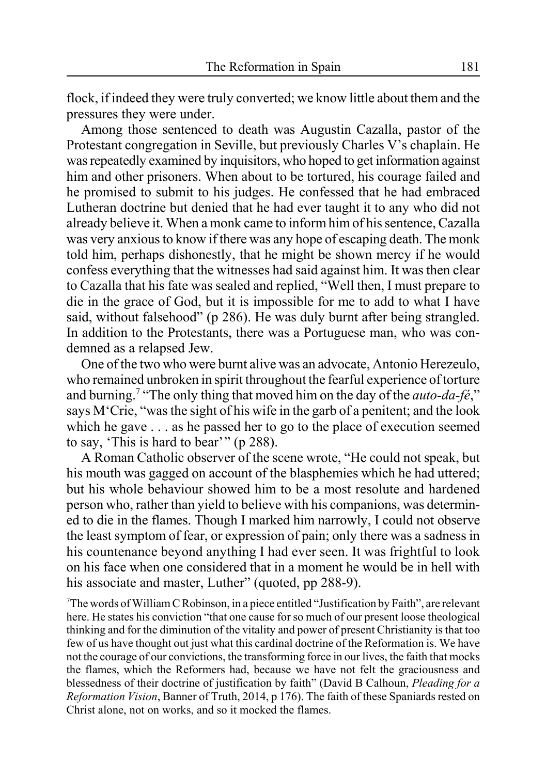flock, if indeed they were truly converted; we know little about them and the pressures they were under.

Among those sentenced to death was Augustin Cazalla, pastor of the Protestant congregation in Seville, but previously Charles V's chaplain. He was repeatedly examined by inquisitors, who hoped to get information against him and other prisoners. When about to be tortured, his courage failed and he promised to submit to his judges. He confessed that he had embraced Lutheran doctrine but denied that he had ever taught it to any who did not already believe it. When a monk came to inform him of his sentence, Cazalla was very anxious to know if there was any hope of escaping death. The monk told him, perhaps dishonestly, that he might be shown mercy if he would confess everything that the witnesses had said against him. It was then clear to Cazalla that his fate was sealed and replied, "Well then, I must prepare to die in the grace of God, but it is impossible for me to add to what I have said, without falsehood" (p 286). He was duly burnt after being strangled. In addition to the Protestants, there was a Portuguese man, who was condemned as a relapsed Jew.

One of the two who were burnt alive was an advocate, Antonio Herezeulo, who remained unbroken in spirit throughout the fearful experience of torture and burning.7 "The only thing that moved him on the day of the *auto-da-fé*," says M'Crie, "was the sight of his wife in the garb of a penitent; and the look which he gave . . . as he passed her to go to the place of execution seemed to say, 'This is hard to bear'" (p 288).

A Roman Catholic observer of the scene wrote, "He could not speak, but his mouth was gagged on account of the blasphemies which he had uttered; but his whole behaviour showed him to be a most resolute and hardened person who, rather than yield to believe with his companions, was determined to die in the flames. Though I marked him narrowly, I could not observe the least symptom of fear, or expression of pain; only there was a sadness in his countenance beyond anything I had ever seen. It was frightful to look on his face when one considered that in a moment he would be in hell with his associate and master, Luther" (quoted, pp 288-9).

7 The words of William C Robinson, in a piece entitled "Justification by Faith", are relevant here. He states his conviction "that one cause for so much of our present loose theological thinking and for the diminution of the vitality and power of present Christianity is that too few of us have thought out just what this cardinal doctrine of the Reformation is. We have not the courage of our convictions, the transforming force in our lives, the faith that mocks the flames, which the Reformers had, because we have not felt the graciousness and blessedness of their doctrine of justification by faith" (David B Calhoun, *Pleading for a Reformation Vision*, Banner of Truth, 2014, p 176). The faith of these Spaniards rested on Christ alone, not on works, and so it mocked the flames.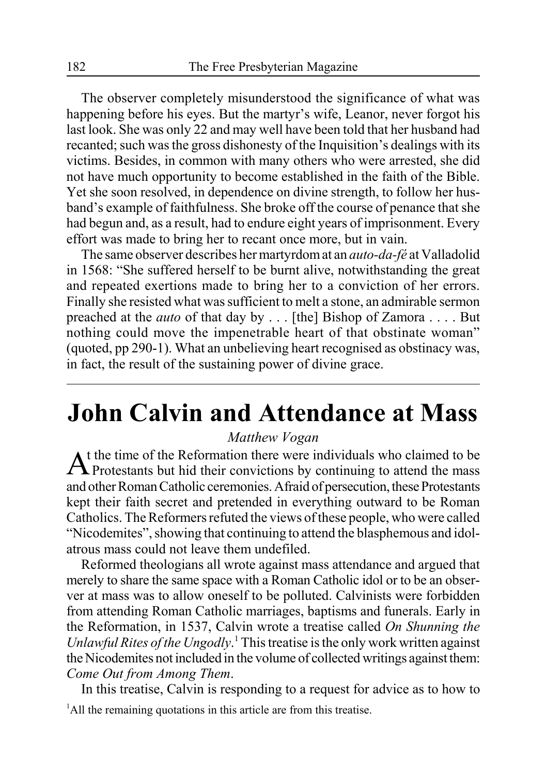The observer completely misunderstood the significance of what was happening before his eyes. But the martyr's wife, Leanor, never forgot his last look. She was only 22 and may well have been told that her husband had recanted; such was the gross dishonesty of the Inquisition's dealings with its victims. Besides, in common with many others who were arrested, she did not have much opportunity to become established in the faith of the Bible. Yet she soon resolved, in dependence on divine strength, to follow her husband's example of faithfulness. She broke off the course of penance that she had begun and, as a result, had to endure eight years of imprisonment. Every effort was made to bring her to recant once more, but in vain.

The same observer describes her martyrdom at an *auto-da-fé* at Valladolid in 1568: "She suffered herself to be burnt alive, notwithstanding the great and repeated exertions made to bring her to a conviction of her errors. Finally she resisted what was sufficient to melt a stone, an admirable sermon preached at the *auto* of that day by . . . [the] Bishop of Zamora . . . . But nothing could move the impenetrable heart of that obstinate woman" (quoted, pp 290-1). What an unbelieving heart recognised as obstinacy was, in fact, the result of the sustaining power of divine grace.

# **John Calvin and Attendance at Mass**

#### *Matthew Vogan*

 $A<sup>t</sup>$  the time of the Reformation there were individuals who claimed to be Protestants but hid their convictions by continuing to attend the mass and other Roman Catholic ceremonies. Afraid of persecution, these Protestants kept their faith secret and pretended in everything outward to be Roman Catholics. The Reformers refuted the views of these people, who were called "Nicodemites", showing that continuing to attend the blasphemous and idolatrous mass could not leave them undefiled.

Reformed theologians all wrote against mass attendance and argued that merely to share the same space with a Roman Catholic idol or to be an observer at mass was to allow oneself to be polluted. Calvinists were forbidden from attending Roman Catholic marriages, baptisms and funerals. Early in the Reformation, in 1537, Calvin wrote a treatise called *On Shunning the Unlawful Rites of the Ungodly*. 1 This treatise is the only work written against the Nicodemites not included in the volume of collected writings against them: *Come Out from Among Them*.

In this treatise, Calvin is responding to a request for advice as to how to <sup>1</sup>All the remaining quotations in this article are from this treatise.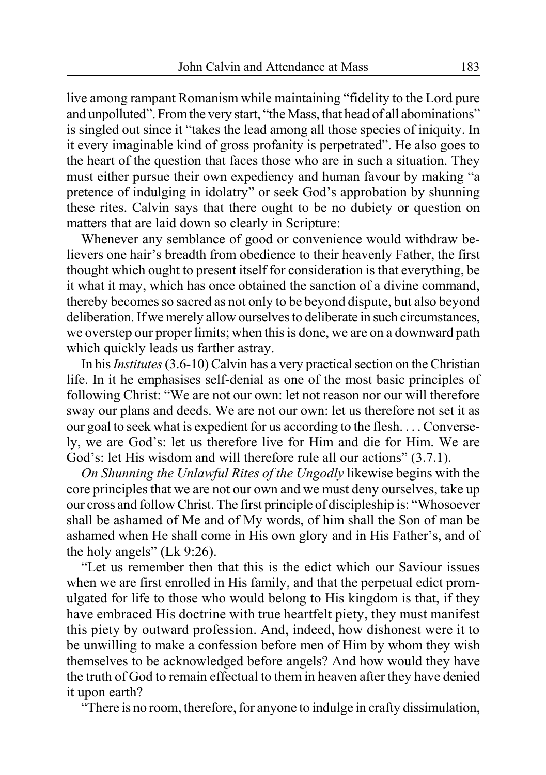live among rampant Romanism while maintaining "fidelity to the Lord pure and unpolluted". From the very start, "the Mass, that head of all abominations" is singled out since it "takes the lead among all those species of iniquity. In it every imaginable kind of gross profanity is perpetrated". He also goes to the heart of the question that faces those who are in such a situation. They must either pursue their own expediency and human favour by making "a pretence of indulging in idolatry" or seek God's approbation by shunning these rites. Calvin says that there ought to be no dubiety or question on matters that are laid down so clearly in Scripture:

Whenever any semblance of good or convenience would withdraw believers one hair's breadth from obedience to their heavenly Father, the first thought which ought to present itself for consideration is that everything, be it what it may, which has once obtained the sanction of a divine command, thereby becomes so sacred as not only to be beyond dispute, but also beyond deliberation. If we merely allow ourselves to deliberate in such circumstances, we overstep our proper limits; when this is done, we are on a downward path which quickly leads us farther astray.

In his *Institutes* (3.6-10) Calvin has a very practical section on the Christian life. In it he emphasises self-denial as one of the most basic principles of following Christ: "We are not our own: let not reason nor our will therefore sway our plans and deeds. We are not our own: let us therefore not set it as our goal to seek what is expedient for us according to the flesh. . . . Conversely, we are God's: let us therefore live for Him and die for Him. We are God's: let His wisdom and will therefore rule all our actions" (3.7.1).

*On Shunning the Unlawful Rites of the Ungodly* likewise begins with the core principles that we are not our own and we must deny ourselves, take up our cross and follow Christ. The first principle of discipleship is: "Whosoever shall be ashamed of Me and of My words, of him shall the Son of man be ashamed when He shall come in His own glory and in His Father's, and of the holy angels" (Lk 9:26).

"Let us remember then that this is the edict which our Saviour issues when we are first enrolled in His family, and that the perpetual edict promulgated for life to those who would belong to His kingdom is that, if they have embraced His doctrine with true heartfelt piety, they must manifest this piety by outward profession. And, indeed, how dishonest were it to be unwilling to make a confession before men of Him by whom they wish themselves to be acknowledged before angels? And how would they have the truth of God to remain effectual to them in heaven after they have denied it upon earth?

"There is no room, therefore, for anyone to indulge in crafty dissimulation,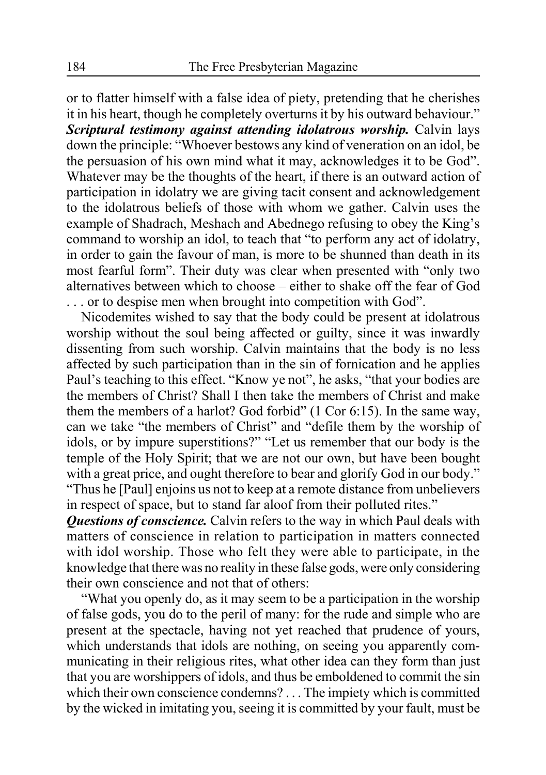or to flatter himself with a false idea of piety, pretending that he cherishes it in his heart, though he completely overturns it by his outward behaviour." *Scriptural testimony against attending idolatrous worship.* Calvin lays down the principle: "Whoever bestows any kind of veneration on an idol, be the persuasion of his own mind what it may, acknowledges it to be God". Whatever may be the thoughts of the heart, if there is an outward action of participation in idolatry we are giving tacit consent and acknowledgement to the idolatrous beliefs of those with whom we gather. Calvin uses the example of Shadrach, Meshach and Abednego refusing to obey the King's command to worship an idol, to teach that "to perform any act of idolatry, in order to gain the favour of man, is more to be shunned than death in its most fearful form". Their duty was clear when presented with "only two alternatives between which to choose – either to shake off the fear of God . . . or to despise men when brought into competition with God".

Nicodemites wished to say that the body could be present at idolatrous worship without the soul being affected or guilty, since it was inwardly dissenting from such worship. Calvin maintains that the body is no less affected by such participation than in the sin of fornication and he applies Paul's teaching to this effect. "Know ye not", he asks, "that your bodies are the members of Christ? Shall I then take the members of Christ and make them the members of a harlot? God forbid" (1 Cor 6:15). In the same way, can we take "the members of Christ" and "defile them by the worship of idols, or by impure superstitions?" "Let us remember that our body is the temple of the Holy Spirit; that we are not our own, but have been bought with a great price, and ought therefore to bear and glorify God in our body." "Thus he [Paul] enjoins us not to keep at a remote distance from unbelievers

in respect of space, but to stand far aloof from their polluted rites."

*Questions of conscience.* Calvin refers to the way in which Paul deals with matters of conscience in relation to participation in matters connected with idol worship. Those who felt they were able to participate, in the knowledge that there was no reality in these false gods, were only considering their own conscience and not that of others:

"What you openly do, as it may seem to be a participation in the worship of false gods, you do to the peril of many: for the rude and simple who are present at the spectacle, having not yet reached that prudence of yours, which understands that idols are nothing, on seeing you apparently communicating in their religious rites, what other idea can they form than just that you are worshippers of idols, and thus be emboldened to commit the sin which their own conscience condemns? . . . The impiety which is committed by the wicked in imitating you, seeing it is committed by your fault, must be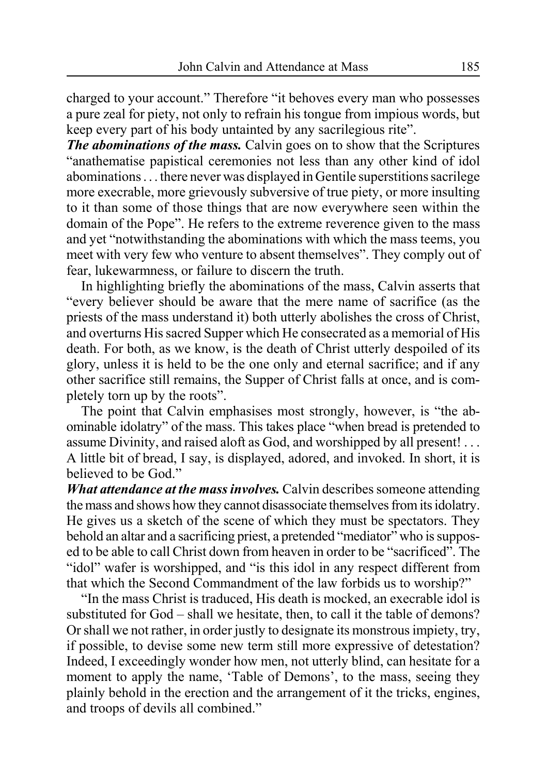charged to your account." Therefore "it behoves every man who possesses a pure zeal for piety, not only to refrain his tongue from impious words, but keep every part of his body untainted by any sacrilegious rite".

*The abominations of the mass.* Calvin goes on to show that the Scriptures "anathematise papistical ceremonies not less than any other kind of idol abominations . . . there never was displayed in Gentile superstitions sacrilege more execrable, more grievously subversive of true piety, or more insulting to it than some of those things that are now everywhere seen within the domain of the Pope". He refers to the extreme reverence given to the mass and yet "notwithstanding the abominations with which the mass teems, you meet with very few who venture to absent themselves". They comply out of fear, lukewarmness, or failure to discern the truth.

In highlighting briefly the abominations of the mass, Calvin asserts that "every believer should be aware that the mere name of sacrifice (as the priests of the mass understand it) both utterly abolishes the cross of Christ, and overturns His sacred Supper which He consecrated as a memorial of His death. For both, as we know, is the death of Christ utterly despoiled of its glory, unless it is held to be the one only and eternal sacrifice; and if any other sacrifice still remains, the Supper of Christ falls at once, and is completely torn up by the roots".

The point that Calvin emphasises most strongly, however, is "the abominable idolatry" of the mass. This takes place "when bread is pretended to assume Divinity, and raised aloft as God, and worshipped by all present! . . . A little bit of bread, I say, is displayed, adored, and invoked. In short, it is believed to be God."

*What attendance at the mass involves.* Calvin describes someone attending the mass and shows how they cannot disassociate themselves from its idolatry. He gives us a sketch of the scene of which they must be spectators. They behold an altar and a sacrificing priest, a pretended "mediator" who is supposed to be able to call Christ down from heaven in order to be "sacrificed". The "idol" wafer is worshipped, and "is this idol in any respect different from that which the Second Commandment of the law forbids us to worship?"

"In the mass Christ is traduced, His death is mocked, an execrable idol is substituted for God – shall we hesitate, then, to call it the table of demons? Or shall we not rather, in order justly to designate its monstrous impiety, try, if possible, to devise some new term still more expressive of detestation? Indeed, I exceedingly wonder how men, not utterly blind, can hesitate for a moment to apply the name, 'Table of Demons', to the mass, seeing they plainly behold in the erection and the arrangement of it the tricks, engines, and troops of devils all combined."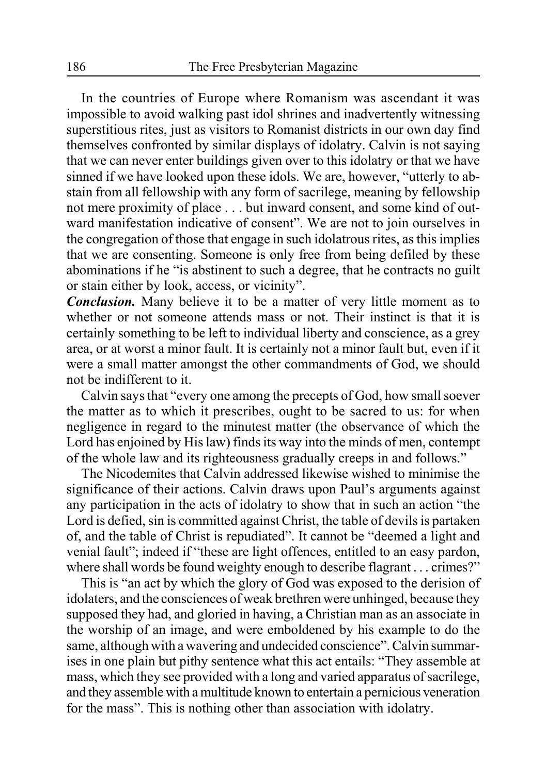In the countries of Europe where Romanism was ascendant it was impossible to avoid walking past idol shrines and inadvertently witnessing superstitious rites, just as visitors to Romanist districts in our own day find themselves confronted by similar displays of idolatry. Calvin is not saying that we can never enter buildings given over to this idolatry or that we have sinned if we have looked upon these idols. We are, however, "utterly to abstain from all fellowship with any form of sacrilege, meaning by fellowship not mere proximity of place . . . but inward consent, and some kind of outward manifestation indicative of consent". We are not to join ourselves in the congregation of those that engage in such idolatrous rites, as this implies that we are consenting. Someone is only free from being defiled by these abominations if he "is abstinent to such a degree, that he contracts no guilt or stain either by look, access, or vicinity".

*Conclusion.* Many believe it to be a matter of very little moment as to whether or not someone attends mass or not. Their instinct is that it is certainly something to be left to individual liberty and conscience, as a grey area, or at worst a minor fault. It is certainly not a minor fault but, even if it were a small matter amongst the other commandments of God, we should not be indifferent to it.

Calvin says that "every one among the precepts of God, how small soever the matter as to which it prescribes, ought to be sacred to us: for when negligence in regard to the minutest matter (the observance of which the Lord has enjoined by His law) finds its way into the minds of men, contempt of the whole law and its righteousness gradually creeps in and follows."

The Nicodemites that Calvin addressed likewise wished to minimise the significance of their actions. Calvin draws upon Paul's arguments against any participation in the acts of idolatry to show that in such an action "the Lord is defied, sin is committed against Christ, the table of devils is partaken of, and the table of Christ is repudiated". It cannot be "deemed a light and venial fault"; indeed if "these are light offences, entitled to an easy pardon, where shall words be found weighty enough to describe flagrant . . . crimes?"

This is "an act by which the glory of God was exposed to the derision of idolaters, and the consciences of weak brethren were unhinged, because they supposed they had, and gloried in having, a Christian man as an associate in the worship of an image, and were emboldened by his example to do the same, although with a wavering and undecided conscience". Calvin summarises in one plain but pithy sentence what this act entails: "They assemble at mass, which they see provided with a long and varied apparatus of sacrilege, and they assemble with a multitude known to entertain a pernicious veneration for the mass". This is nothing other than association with idolatry.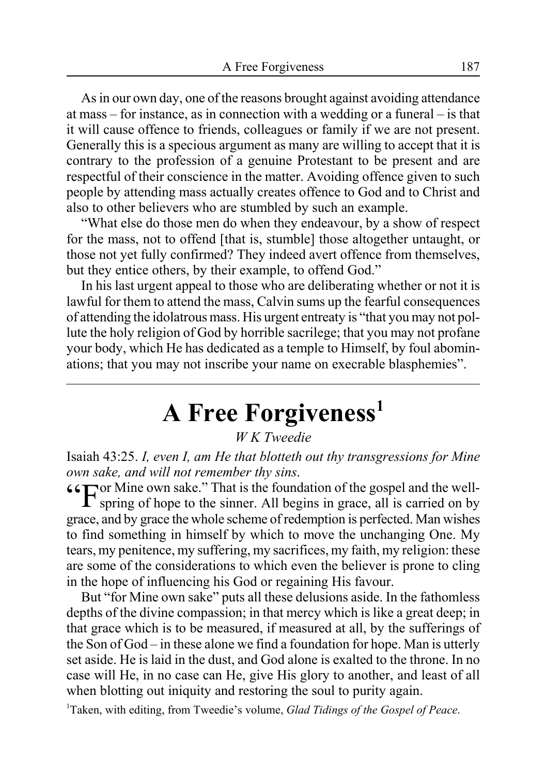As in our own day, one of the reasons brought against avoiding attendance at mass – for instance, as in connection with a wedding or a funeral – is that it will cause offence to friends, colleagues or family if we are not present. Generally this is a specious argument as many are willing to accept that it is contrary to the profession of a genuine Protestant to be present and are respectful of their conscience in the matter. Avoiding offence given to such people by attending mass actually creates offence to God and to Christ and also to other believers who are stumbled by such an example.

"What else do those men do when they endeavour, by a show of respect for the mass, not to offend [that is, stumble] those altogether untaught, or those not yet fully confirmed? They indeed avert offence from themselves, but they entice others, by their example, to offend God."

In his last urgent appeal to those who are deliberating whether or not it is lawful for them to attend the mass. Calvin sums up the fearful consequences of attending the idolatrous mass. His urgent entreaty is "that you may not pollute the holy religion of God by horrible sacrilege; that you may not profane your body, which He has dedicated as a temple to Himself, by foul abominations; that you may not inscribe your name on execrable blasphemies".

# **A Free Forgiveness1**

#### *W K Tweedie*

Isaiah 43:25. *I, even I, am He that blotteth out thy transgressions for Mine own sake, and will not remember thy sins*.

"For Mine own sake." That is the foundation of the gospel and the well- $\Gamma$  spring of hope to the sinner. All begins in grace, all is carried on by grace, and by grace the whole scheme of redemption is perfected. Man wishes to find something in himself by which to move the unchanging One. My tears, my penitence, my suffering, my sacrifices, my faith, my religion: these are some of the considerations to which even the believer is prone to cling in the hope of influencing his God or regaining His favour.

But "for Mine own sake" puts all these delusions aside. In the fathomless depths of the divine compassion; in that mercy which is like a great deep; in that grace which is to be measured, if measured at all, by the sufferings of the Son of God – in these alone we find a foundation for hope. Man is utterly set aside. He is laid in the dust, and God alone is exalted to the throne. In no case will He, in no case can He, give His glory to another, and least of all when blotting out iniquity and restoring the soul to purity again.

1 Taken, with editing, from Tweedie's volume, *Glad Tidings of the Gospel of Peace*.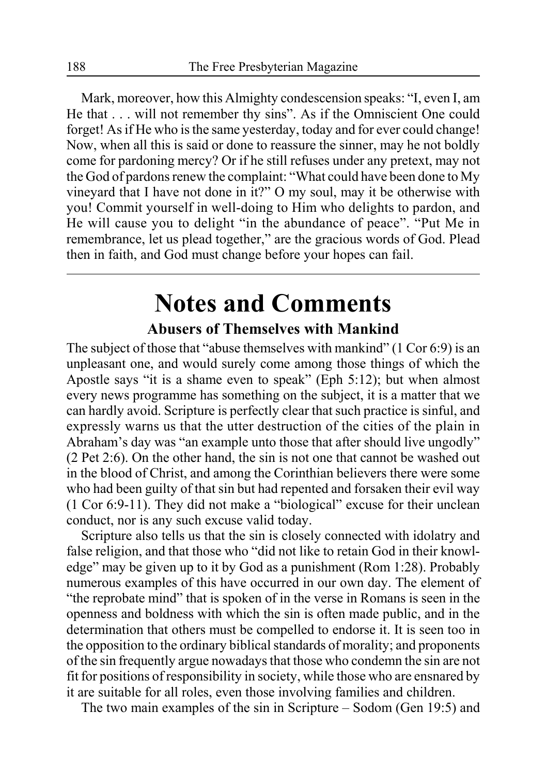Mark, moreover, how this Almighty condescension speaks: "I, even I, am He that . . . will not remember thy sins". As if the Omniscient One could forget! As if He who is the same yesterday, today and for ever could change! Now, when all this is said or done to reassure the sinner, may he not boldly come for pardoning mercy? Or if he still refuses under any pretext, may not the God of pardons renew the complaint: "What could have been done to My vineyard that I have not done in it?" O my soul, may it be otherwise with you! Commit yourself in well-doing to Him who delights to pardon, and He will cause you to delight "in the abundance of peace". "Put Me in remembrance, let us plead together," are the gracious words of God. Plead then in faith, and God must change before your hopes can fail.

## **Notes and Comments Abusers of Themselves with Mankind**

The subject of those that "abuse themselves with mankind" (1 Cor 6:9) is an unpleasant one, and would surely come among those things of which the Apostle says "it is a shame even to speak" (Eph 5:12); but when almost every news programme has something on the subject, it is a matter that we can hardly avoid. Scripture is perfectly clear that such practice is sinful, and expressly warns us that the utter destruction of the cities of the plain in Abraham's day was "an example unto those that after should live ungodly" (2 Pet 2:6). On the other hand, the sin is not one that cannot be washed out in the blood of Christ, and among the Corinthian believers there were some who had been guilty of that sin but had repented and forsaken their evil way (1 Cor 6:9-11). They did not make a "biological" excuse for their unclean conduct, nor is any such excuse valid today.

Scripture also tells us that the sin is closely connected with idolatry and false religion, and that those who "did not like to retain God in their knowledge" may be given up to it by God as a punishment (Rom 1:28). Probably numerous examples of this have occurred in our own day. The element of "the reprobate mind" that is spoken of in the verse in Romans is seen in the openness and boldness with which the sin is often made public, and in the determination that others must be compelled to endorse it. It is seen too in the opposition to the ordinary biblical standards of morality; and proponents of the sin frequently argue nowadays that those who condemn the sin are not fit for positions of responsibility in society, while those who are ensnared by it are suitable for all roles, even those involving families and children.

The two main examples of the sin in Scripture – Sodom (Gen 19:5) and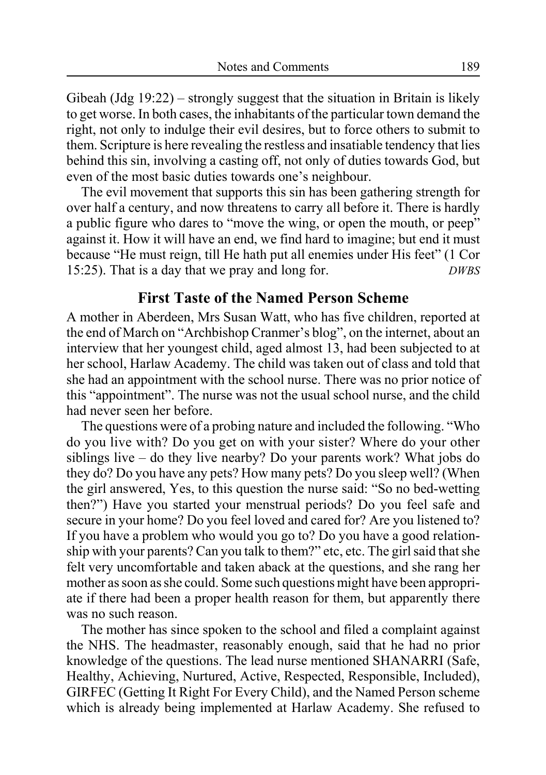Gibeah (Jdg 19:22) – strongly suggest that the situation in Britain is likely to get worse. In both cases, the inhabitants of the particular town demand the right, not only to indulge their evil desires, but to force others to submit to them. Scripture is here revealing the restless and insatiable tendency that lies behind this sin, involving a casting off, not only of duties towards God, but even of the most basic duties towards one's neighbour.

The evil movement that supports this sin has been gathering strength for over half a century, and now threatens to carry all before it. There is hardly a public figure who dares to "move the wing, or open the mouth, or peep" against it. How it will have an end, we find hard to imagine; but end it must because "He must reign, till He hath put all enemies under His feet" (1 Cor 15:25). That is a day that we pray and long for. *DWBS*

#### **First Taste of the Named Person Scheme**

A mother in Aberdeen, Mrs Susan Watt, who has five children, reported at the end of March on "Archbishop Cranmer's blog", on the internet, about an interview that her youngest child, aged almost 13, had been subjected to at her school, Harlaw Academy. The child was taken out of class and told that she had an appointment with the school nurse. There was no prior notice of this "appointment". The nurse was not the usual school nurse, and the child had never seen her before.

The questions were of a probing nature and included the following. "Who do you live with? Do you get on with your sister? Where do your other siblings live – do they live nearby? Do your parents work? What jobs do they do? Do you have any pets? How many pets? Do you sleep well? (When the girl answered, Yes, to this question the nurse said: "So no bed-wetting then?") Have you started your menstrual periods? Do you feel safe and secure in your home? Do you feel loved and cared for? Are you listened to? If you have a problem who would you go to? Do you have a good relationship with your parents? Can you talk to them?" etc, etc. The girl said that she felt very uncomfortable and taken aback at the questions, and she rang her mother as soon as she could. Some such questions might have been appropriate if there had been a proper health reason for them, but apparently there was no such reason.

The mother has since spoken to the school and filed a complaint against the NHS. The headmaster, reasonably enough, said that he had no prior knowledge of the questions. The lead nurse mentioned SHANARRI (Safe, Healthy, Achieving, Nurtured, Active, Respected, Responsible, Included), GIRFEC (Getting It Right For Every Child), and the Named Person scheme which is already being implemented at Harlaw Academy. She refused to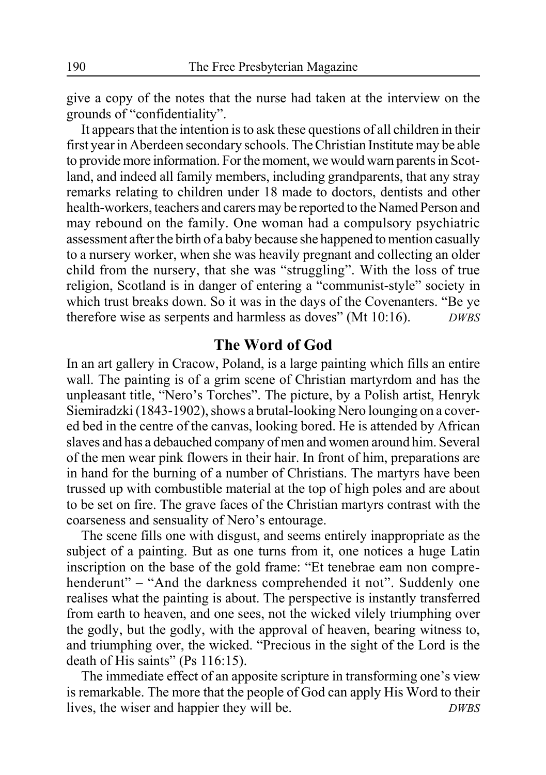give a copy of the notes that the nurse had taken at the interview on the grounds of "confidentiality".

It appears that the intention is to ask these questions of all children in their first year in Aberdeen secondary schools. The Christian Institute may be able to provide more information. For the moment, we would warn parents in Scotland, and indeed all family members, including grandparents, that any stray remarks relating to children under 18 made to doctors, dentists and other health-workers, teachers and carers may be reported to the Named Person and may rebound on the family. One woman had a compulsory psychiatric assessment after the birth of a baby because she happened to mention casually to a nursery worker, when she was heavily pregnant and collecting an older child from the nursery, that she was "struggling". With the loss of true religion, Scotland is in danger of entering a "communist-style" society in which trust breaks down. So it was in the days of the Covenanters. "Be ye therefore wise as serpents and harmless as doves" (Mt 10:16). *DWBS*

### **The Word of God**

In an art gallery in Cracow, Poland, is a large painting which fills an entire wall. The painting is of a grim scene of Christian martyrdom and has the unpleasant title, "Nero's Torches". The picture, by a Polish artist, Henryk Siemiradzki (1843-1902), shows a brutal-looking Nero lounging on a covered bed in the centre of the canvas, looking bored. He is attended by African slaves and has a debauched company of men and women around him. Several of the men wear pink flowers in their hair. In front of him, preparations are in hand for the burning of a number of Christians. The martyrs have been trussed up with combustible material at the top of high poles and are about to be set on fire. The grave faces of the Christian martyrs contrast with the coarseness and sensuality of Nero's entourage.

The scene fills one with disgust, and seems entirely inappropriate as the subject of a painting. But as one turns from it, one notices a huge Latin inscription on the base of the gold frame: "Et tenebrae eam non comprehenderunt" – "And the darkness comprehended it not". Suddenly one realises what the painting is about. The perspective is instantly transferred from earth to heaven, and one sees, not the wicked vilely triumphing over the godly, but the godly, with the approval of heaven, bearing witness to, and triumphing over, the wicked. "Precious in the sight of the Lord is the death of His saints" (Ps 116:15).

The immediate effect of an apposite scripture in transforming one's view is remarkable. The more that the people of God can apply His Word to their lives, the wiser and happier they will be. *DWBS*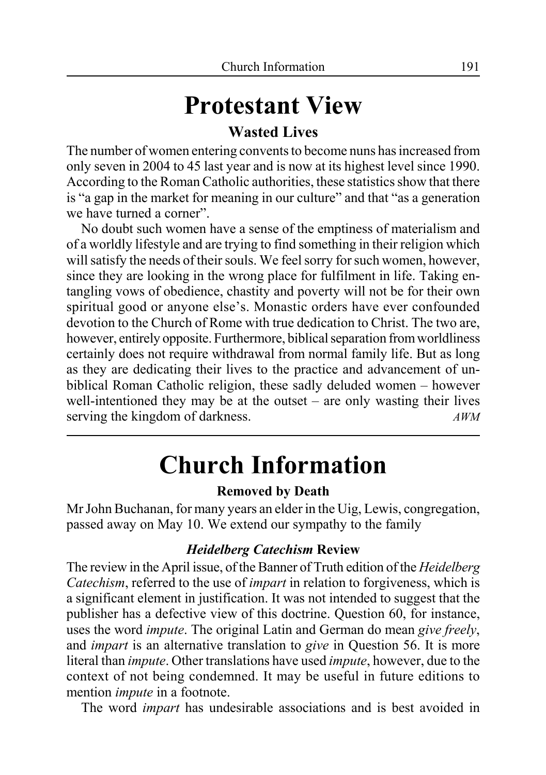# **Protestant View**

### **Wasted Lives**

The number of women entering convents to become nuns has increased from only seven in 2004 to 45 last year and is now at its highest level since 1990. According to the Roman Catholic authorities, these statistics show that there is "a gap in the market for meaning in our culture" and that "as a generation we have turned a corner".

No doubt such women have a sense of the emptiness of materialism and of a worldly lifestyle and are trying to find something in their religion which will satisfy the needs of their souls. We feel sorry for such women, however, since they are looking in the wrong place for fulfilment in life. Taking entangling vows of obedience, chastity and poverty will not be for their own spiritual good or anyone else's. Monastic orders have ever confounded devotion to the Church of Rome with true dedication to Christ. The two are, however, entirely opposite. Furthermore, biblical separation from worldliness certainly does not require withdrawal from normal family life. But as long as they are dedicating their lives to the practice and advancement of unbiblical Roman Catholic religion, these sadly deluded women – however well-intentioned they may be at the outset – are only wasting their lives serving the kingdom of darkness. *AWM* 

# **Church Information**

#### **Removed by Death**

Mr John Buchanan, for many years an elder in the Uig, Lewis, congregation, passed away on May 10. We extend our sympathy to the family

### *Heidelberg Catechism* **Review**

The review in the April issue, of the Banner of Truth edition of the *Heidelberg Catechism*, referred to the use of *impart* in relation to forgiveness, which is a significant element in justification. It was not intended to suggest that the publisher has a defective view of this doctrine. Question 60, for instance, uses the word *impute*. The original Latin and German do mean *give freely*, and *impart* is an alternative translation to *give* in Question 56. It is more literal than *impute*. Other translations have used *impute*, however, due to the context of not being condemned. It may be useful in future editions to mention *impute* in a footnote.

The word *impart* has undesirable associations and is best avoided in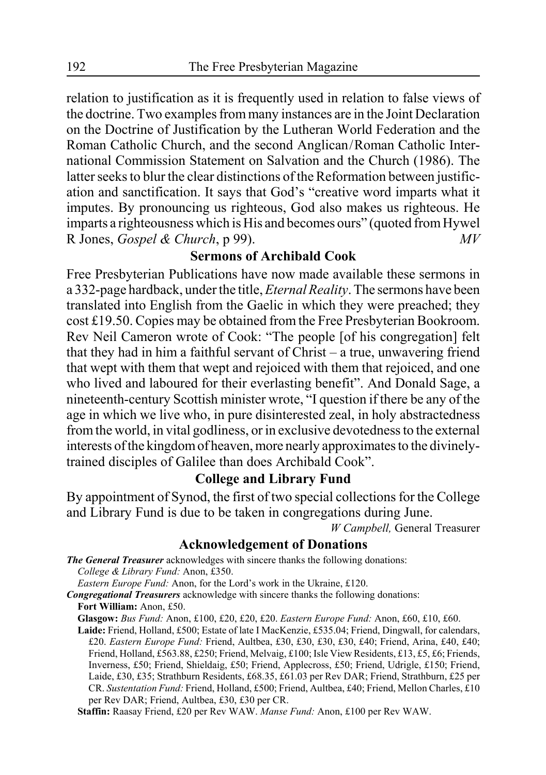relation to justification as it is frequently used in relation to false views of the doctrine. Two examples from many instances are in the Joint Declaration on the Doctrine of Justification by the Lutheran World Federation and the Roman Catholic Church, and the second Anglican/Roman Catholic International Commission Statement on Salvation and the Church (1986). The latter seeks to blur the clear distinctions of the Reformation between justification and sanctification. It says that God's "creative word imparts what it imputes. By pronouncing us righteous, God also makes us righteous. He imparts a righteousness which is His and becomes ours" (quoted from Hywel R Jones, *Gospel & Church*, p 99). *MV*

### **Sermons of Archibald Cook**

Free Presbyterian Publications have now made available these sermons in a 332-page hardback, under the title, *Eternal Reality*. The sermons have been translated into English from the Gaelic in which they were preached; they cost £19.50. Copies may be obtained from the Free Presbyterian Bookroom. Rev Neil Cameron wrote of Cook: "The people [of his congregation] felt that they had in him a faithful servant of Christ – a true, unwavering friend that wept with them that wept and rejoiced with them that rejoiced, and one who lived and laboured for their everlasting benefit". And Donald Sage, a nineteenth-century Scottish minister wrote, "I question if there be any of the age in which we live who, in pure disinterested zeal, in holy abstractedness from the world, in vital godliness, or in exclusive devotedness to the external interests of the kingdom of heaven, more nearly approximates to the divinelytrained disciples of Galilee than does Archibald Cook".

#### **College and Library Fund**

By appointment of Synod, the first of two special collections for the College and Library Fund is due to be taken in congregations during June.

*W Campbell,* General Treasurer

#### **Acknowledgement of Donations**

*The General Treasurer* acknowledges with sincere thanks the following donations:

*College & Library Fund:* Anon, £350.

*Eastern Europe Fund:* Anon, for the Lord's work in the Ukraine, £120.

*Congregational Treasurers* acknowledge with sincere thanks the following donations: **Fort William:** Anon, £50.

**Glasgow:** *Bus Fund:* Anon, £100, £20, £20, £20. *Eastern Europe Fund:* Anon, £60, £10, £60.

**Laide:** Friend, Holland, £500; Estate of late I MacKenzie, £535.04; Friend, Dingwall, for calendars, £20. *Eastern Europe Fund:* Friend, Aultbea, £30, £30, £30, £30, £40; Friend, Arina, £40, £40; Friend, Holland, £563.88, £250; Friend, Melvaig, £100; Isle View Residents, £13, £5, £6; Friends, Inverness, £50; Friend, Shieldaig, £50; Friend, Applecross, £50; Friend, Udrigle, £150; Friend, Laide, £30, £35; Strathburn Residents, £68.35, £61.03 per Rev DAR; Friend, Strathburn, £25 per CR. *Sustentation Fund:* Friend, Holland, £500; Friend, Aultbea, £40; Friend, Mellon Charles, £10 per Rev DAR; Friend, Aultbea, £30, £30 per CR.

**Staffin:** Raasay Friend, £20 per Rev WAW. *Manse Fund:* Anon, £100 per Rev WAW.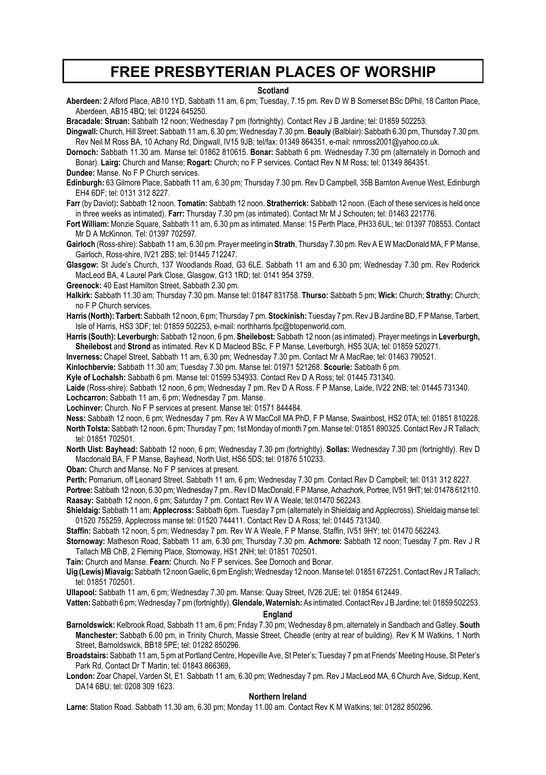### **FREE PRESBYTERIAN PLACES OF WORSHIP**

#### **Scotland**

**Aberdeen:** 2 Alford Place, AB10 1YD, Sabbath 11 am, 6 pm; Tuesday, 7.15 pm. Rev D W B Somerset BSc DPhil, 18 Carlton Place, Aberdeen, AB15 4BQ; tel: 01224 645250.

**Bracadale: Struan:** Sabbath 12 noon; Wednesday 7 pm (fortnightly). Contact Rev J B Jardine; tel: 01859 502253.

**Dingwall:** Church, Hill Street: Sabbath 11 am, 6.30 pm; Wednesday 7.30 pm. **Beauly** (Balblair): Sabbath 6.30 pm, Thursday 7.30 pm. Rev Neil M Ross BA, 10 Achany Rd, Dingwall, IV15 9JB; tel/fax: 01349 864351, e-mail: nmross2001@yahoo.co.uk.

**Dornoch:** Sabbath 11.30 am. Manse tel: 01862 810615. **Bonar:** Sabbath 6 pm. Wednesday 7.30 pm (alternately in Dornoch and Bonar). **Lairg:** Church and Manse; **Rogart:** Church; no F P services. Contact Rev N M Ross; tel: 01349 864351. **Dundee:** Manse. No F P Church services.

**Edinburgh:** 63 Gilmore Place, Sabbath 11 am, 6.30 pm; Thursday 7.30 pm. Rev D Campbell, 35B Barnton Avenue West, Edinburgh EH4 6DF; tel: 0131 312 8227.

**Farr** (by Daviot)**:** Sabbath 12 noon. **Tomatin:** Sabbath 12 noon. **Stratherrick:** Sabbath 12 noon. (Each of these services is held once in three weeks as intimated). **Farr:** Thursday 7.30 pm (as intimated). Contact Mr M J Schouten; tel: 01463 221776.

**Fort William:** Monzie Square, Sabbath 11 am, 6.30 pm as intimated. Manse: 15 Perth Place, PH33 6UL; tel: 01397 708553. Contact Mr D A McKinnon. Tel: 01397 702597.

**Gairloch** (Ross-shire): Sabbath 11 am, 6.30 pm. Prayer meeting in **Strath**, Thursday 7.30 pm. Rev A E W MacDonald MA, F P Manse, Gairloch, Ross-shire, IV21 2BS; tel: 01445 712247.

**Glasgow:** St Jude's Church, 137 Woodlands Road, G3 6LE. Sabbath 11 am and 6.30 pm; Wednesday 7.30 pm. Rev Roderick MacLeod BA, 4 Laurel Park Close, Glasgow, G13 1RD; tel: 0141 954 3759.

**Greenock:** 40 East Hamilton Street, Sabbath 2.30 pm.

**Halkirk:** Sabbath 11.30 am; Thursday 7.30 pm. Manse tel: 01847 831758. **Thurso:** Sabbath 5 pm; **Wick:** Church; **Strathy:** Church; no F P Church services.

**Harris (North): Tarbert:** Sabbath 12 noon, 6 pm; Thursday 7 pm. **Stockinish:** Tuesday 7 pm. Rev J B Jardine BD, F P Manse, Tarbert, Isle of Harris, HS3 3DF; tel: 01859 502253, e-mail: northharris.fpc@btopenworld.com.

**Harris (South): Leverburgh:** Sabbath 12 noon, 6 pm. **Sheilebost:** Sabbath 12 noon (as intimated). Prayer meetings in **Leverburgh, Sheilebost** and **Strond** as intimated. Rev K D Macleod BSc, F P Manse, Leverburgh, HS5 3UA; tel: 01859 520271.

**Inverness:** Chapel Street, Sabbath 11 am, 6.30 pm; Wednesday 7.30 pm. Contact Mr A MacRae; tel: 01463 790521.

**Kinlochbervie:** Sabbath 11.30 am; Tuesday 7.30 pm. Manse tel: 01971 521268. **Scourie:** Sabbath 6 pm.

**Kyle of Lochalsh:** Sabbath 6 pm. Manse tel: 01599 534933. Contact Rev D A Ross; tel: 01445 731340.

**Laide** (Ross-shire): Sabbath 12 noon, 6 pm; Wednesday 7 pm. Rev D A Ross. F P Manse, Laide, IV22 2NB; tel: 01445 731340. **Lochcarron:** Sabbath 11 am, 6 pm; Wednesday 7 pm. Manse.

**Lochinver:** Church. No F P services at present. Manse tel: 01571 844484.

**Ness:** Sabbath 12 noon, 6 pm; Wednesday 7 pm. Rev A W MacColl MA PhD, F P Manse, Swainbost, HS2 0TA; tel: 01851 810228. **North Tolsta:** Sabbath 12 noon, 6 pm; Thursday 7 pm; 1st Monday of month 7 pm. Manse tel: 01851 890325. Contact Rev J R Tallach; tel: 01851 702501.

**North Uist: Bayhead:** Sabbath 12 noon, 6 pm; Wednesday 7.30 pm (fortnightly). **Sollas:** Wednesday 7.30 pm (fortnightly). Rev D Macdonald BA, F P Manse, Bayhead, North Uist, HS6 5DS; tel: 01876 510233.

**Oban:** Church and Manse. No F P services at present.

**Perth:** Pomarium, off Leonard Street. Sabbath 11 am, 6 pm; Wednesday 7.30 pm. Contact Rev D Campbell; tel: 0131 312 8227.

**Portree:** Sabbath 12 noon, 6.30 pm; Wednesday 7 pm.. Rev I D MacDonald, F P Manse, Achachork, Portree, IV51 9HT; tel: 01478 612110. **Raasay:** Sabbath 12 noon, 6 pm; Saturday 7 pm. Contact Rev W A Weale; tel:01470 562243.

**Shieldaig:** Sabbath 11 am; **Applecross:** Sabbath 6pm. Tuesday 7 pm (alternately in Shieldaig and Applecross). Shieldaig manse tel: 01520 755259, Applecross manse tel: 01520 744411. Contact Rev D A Ross; tel: 01445 731340.

**Staffin:** Sabbath 12 noon, 5 pm; Wednesday 7 pm. Rev W A Weale, F P Manse, Staffin, IV51 9HY; tel: 01470 562243.

**Stornoway:** Matheson Road, Sabbath 11 am, 6.30 pm; Thursday 7.30 pm. **Achmore:** Sabbath 12 noon; Tuesday 7 pm. Rev J R Tallach MB ChB, 2 Fleming Place, Stornoway, HS1 2NH; tel: 01851 702501.

**Tain:** Church and Manse. **Fearn:** Church. No F P services. See Dornoch and Bonar.

**Uig (Lewis) Miavaig:** Sabbath 12 noon Gaelic, 6 pm English; Wednesday 12 noon. Manse tel: 01851 672251. Contact Rev J R Tallach; tel: 01851 702501.

**Ullapool:** Sabbath 11 am, 6 pm; Wednesday 7.30 pm. Manse: Quay Street, IV26 2UE; tel: 01854 612449.

**Vatten:** Sabbath 6 pm; Wednesday 7 pm (fortnightly). **Glendale, Waternish:** As intimated.Contact Rev J B Jardine; tel: 01859 502253.

#### **England**

**Barnoldswick:** Kelbrook Road, Sabbath 11 am, 6 pm; Friday 7.30 pm; Wednesday 8 pm, alternately in Sandbach and Gatley. **South Manchester:** Sabbath 6.00 pm, in Trinity Church, Massie Street, Cheadle (entry at rear of building). Rev K M Watkins, 1 North Street, Barnoldswick, BB18 5PE; tel: 01282 850296.

**Broadstairs:** Sabbath 11 am, 5 pm at Portland Centre, Hopeville Ave, St Peter's; Tuesday 7 pm at Friends' Meeting House, St Peter's Park Rd. Contact Dr T Martin; tel: 01843 866369**.**

**London:** Zoar Chapel, Varden St, E1. Sabbath 11 am, 6.30 pm; Wednesday 7 pm. Rev J MacLeod MA, 6 Church Ave, Sidcup, Kent, DA14 6BU; tel: 0208 309 1623.

#### **Northern Ireland**

**Larne:** Station Road. Sabbath 11.30 am, 6.30 pm; Monday 11.00 am. Contact Rev K M Watkins; tel: 01282 850296.